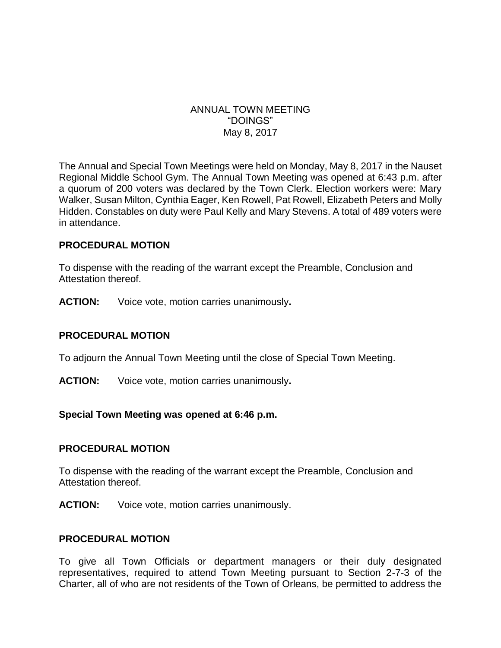#### ANNUAL TOWN MEETING "DOINGS" May 8, 2017

The Annual and Special Town Meetings were held on Monday, May 8, 2017 in the Nauset Regional Middle School Gym. The Annual Town Meeting was opened at 6:43 p.m. after a quorum of 200 voters was declared by the Town Clerk. Election workers were: Mary Walker, Susan Milton, Cynthia Eager, Ken Rowell, Pat Rowell, Elizabeth Peters and Molly Hidden. Constables on duty were Paul Kelly and Mary Stevens. A total of 489 voters were in attendance.

#### **PROCEDURAL MOTION**

To dispense with the reading of the warrant except the Preamble, Conclusion and Attestation thereof.

**ACTION:** Voice vote, motion carries unanimously**.**

#### **PROCEDURAL MOTION**

To adjourn the Annual Town Meeting until the close of Special Town Meeting.

**ACTION:** Voice vote, motion carries unanimously**.**

#### **Special Town Meeting was opened at 6:46 p.m.**

#### **PROCEDURAL MOTION**

To dispense with the reading of the warrant except the Preamble, Conclusion and Attestation thereof.

**ACTION:** Voice vote, motion carries unanimously.

#### **PROCEDURAL MOTION**

To give all Town Officials or department managers or their duly designated representatives, required to attend Town Meeting pursuant to Section 2-7-3 of the Charter, all of who are not residents of the Town of Orleans, be permitted to address the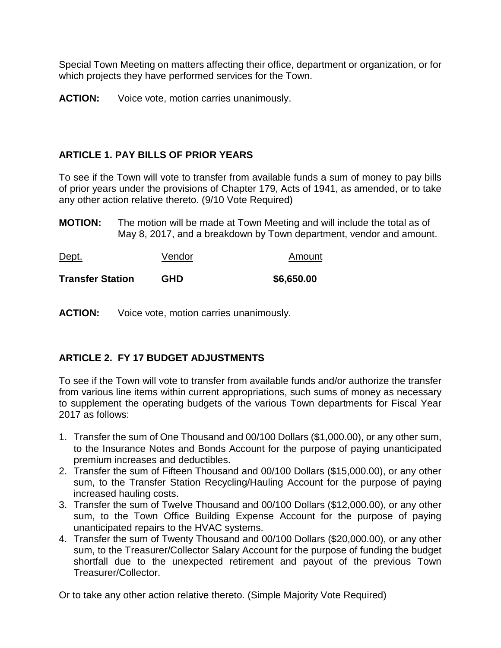Special Town Meeting on matters affecting their office, department or organization, or for which projects they have performed services for the Town.

**ACTION:** Voice vote, motion carries unanimously.

# **ARTICLE 1. PAY BILLS OF PRIOR YEARS**

To see if the Town will vote to transfer from available funds a sum of money to pay bills of prior years under the provisions of Chapter 179, Acts of 1941, as amended, or to take any other action relative thereto. (9/10 Vote Required)

**MOTION:** The motion will be made at Town Meeting and will include the total as of May 8, 2017, and a breakdown by Town department, vendor and amount.

| Dept.                   | Vendor     | Amount     |
|-------------------------|------------|------------|
| <b>Transfer Station</b> | <b>GHD</b> | \$6,650.00 |

**ACTION:** Voice vote, motion carries unanimously.

# **ARTICLE 2. FY 17 BUDGET ADJUSTMENTS**

To see if the Town will vote to transfer from available funds and/or authorize the transfer from various line items within current appropriations, such sums of money as necessary to supplement the operating budgets of the various Town departments for Fiscal Year 2017 as follows:

- 1. Transfer the sum of One Thousand and 00/100 Dollars (\$1,000.00), or any other sum, to the Insurance Notes and Bonds Account for the purpose of paying unanticipated premium increases and deductibles.
- 2. Transfer the sum of Fifteen Thousand and 00/100 Dollars (\$15,000.00), or any other sum, to the Transfer Station Recycling/Hauling Account for the purpose of paying increased hauling costs.
- 3. Transfer the sum of Twelve Thousand and 00/100 Dollars (\$12,000.00), or any other sum, to the Town Office Building Expense Account for the purpose of paying unanticipated repairs to the HVAC systems.
- 4. Transfer the sum of Twenty Thousand and 00/100 Dollars (\$20,000.00), or any other sum, to the Treasurer/Collector Salary Account for the purpose of funding the budget shortfall due to the unexpected retirement and payout of the previous Town Treasurer/Collector.

Or to take any other action relative thereto. (Simple Majority Vote Required)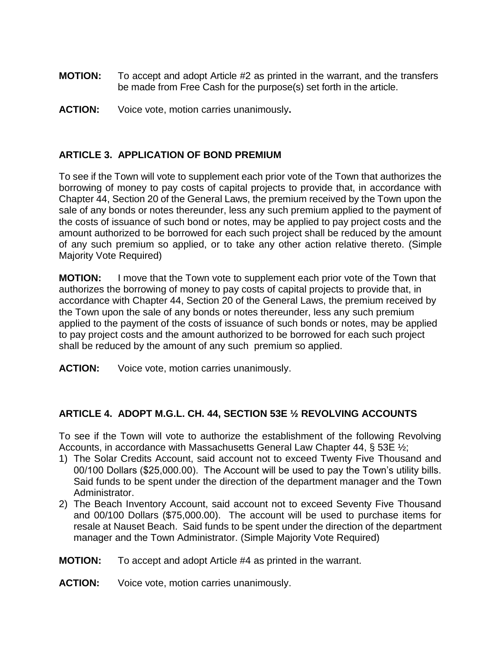- **MOTION:** To accept and adopt Article #2 as printed in the warrant, and the transfers be made from Free Cash for the purpose(s) set forth in the article.
- **ACTION:** Voice vote, motion carries unanimously**.**

# **ARTICLE 3. APPLICATION OF BOND PREMIUM**

To see if the Town will vote to supplement each prior vote of the Town that authorizes the borrowing of money to pay costs of capital projects to provide that, in accordance with Chapter 44, Section 20 of the General Laws, the premium received by the Town upon the sale of any bonds or notes thereunder, less any such premium applied to the payment of the costs of issuance of such bond or notes, may be applied to pay project costs and the amount authorized to be borrowed for each such project shall be reduced by the amount of any such premium so applied, or to take any other action relative thereto. (Simple Majority Vote Required)

**MOTION:** I move that the Town vote to supplement each prior vote of the Town that authorizes the borrowing of money to pay costs of capital projects to provide that, in accordance with Chapter 44, Section 20 of the General Laws, the premium received by the Town upon the sale of any bonds or notes thereunder, less any such premium applied to the payment of the costs of issuance of such bonds or notes, may be applied to pay project costs and the amount authorized to be borrowed for each such project shall be reduced by the amount of any such premium so applied.

**ACTION:** Voice vote, motion carries unanimously.

# **ARTICLE 4. ADOPT M.G.L. CH. 44, SECTION 53E ½ REVOLVING ACCOUNTS**

To see if the Town will vote to authorize the establishment of the following Revolving Accounts, in accordance with Massachusetts General Law Chapter 44, § 53E ½;

- 1) The Solar Credits Account, said account not to exceed Twenty Five Thousand and 00/100 Dollars (\$25,000.00). The Account will be used to pay the Town's utility bills. Said funds to be spent under the direction of the department manager and the Town Administrator.
- 2) The Beach Inventory Account, said account not to exceed Seventy Five Thousand and 00/100 Dollars (\$75,000.00). The account will be used to purchase items for resale at Nauset Beach. Said funds to be spent under the direction of the department manager and the Town Administrator. (Simple Majority Vote Required)
- **MOTION:** To accept and adopt Article #4 as printed in the warrant.
- **ACTION:** Voice vote, motion carries unanimously.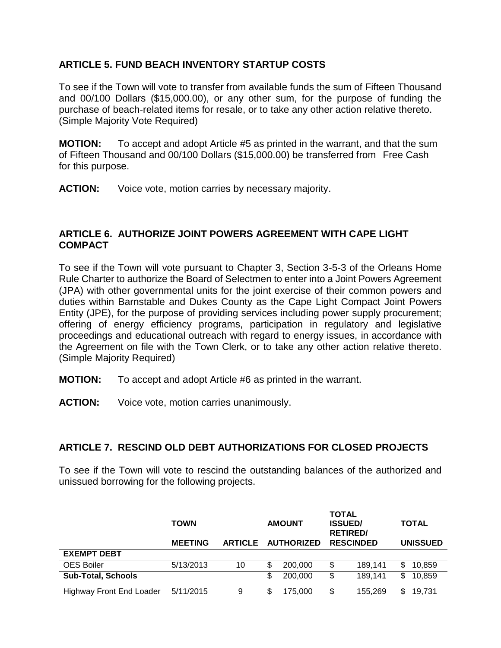# **ARTICLE 5. FUND BEACH INVENTORY STARTUP COSTS**

To see if the Town will vote to transfer from available funds the sum of Fifteen Thousand and 00/100 Dollars (\$15,000.00), or any other sum, for the purpose of funding the purchase of beach-related items for resale, or to take any other action relative thereto. (Simple Majority Vote Required)

**MOTION:** To accept and adopt Article #5 as printed in the warrant, and that the sum of Fifteen Thousand and 00/100 Dollars (\$15,000.00) be transferred from Free Cash for this purpose.

**ACTION:** Voice vote, motion carries by necessary majority.

# **ARTICLE 6. AUTHORIZE JOINT POWERS AGREEMENT WITH CAPE LIGHT COMPACT**

To see if the Town will vote pursuant to Chapter 3, Section 3-5-3 of the Orleans Home Rule Charter to authorize the Board of Selectmen to enter into a Joint Powers Agreement (JPA) with other governmental units for the joint exercise of their common powers and duties within Barnstable and Dukes County as the Cape Light Compact Joint Powers Entity (JPE), for the purpose of providing services including power supply procurement; offering of energy efficiency programs, participation in regulatory and legislative proceedings and educational outreach with regard to energy issues, in accordance with the Agreement on file with the Town Clerk, or to take any other action relative thereto. (Simple Majority Required)

- **MOTION:** To accept and adopt Article #6 as printed in the warrant.
- **ACTION:** Voice vote, motion carries unanimously.

# **ARTICLE 7. RESCIND OLD DEBT AUTHORIZATIONS FOR CLOSED PROJECTS**

To see if the Town will vote to rescind the outstanding balances of the authorized and unissued borrowing for the following projects.

|                                 | <b>TOWN</b>    |                | <b>AMOUNT</b> |                   | <b>TOTAL</b><br><b>ISSUED/</b><br><b>RETIRED/</b> |                  | <b>TOTAL</b> |                 |
|---------------------------------|----------------|----------------|---------------|-------------------|---------------------------------------------------|------------------|--------------|-----------------|
|                                 | <b>MEETING</b> | <b>ARTICLE</b> |               | <b>AUTHORIZED</b> |                                                   | <b>RESCINDED</b> |              | <b>UNISSUED</b> |
| <b>EXEMPT DEBT</b>              |                |                |               |                   |                                                   |                  |              |                 |
| <b>OES Boiler</b>               | 5/13/2013      | 10             | \$            | 200,000           | \$                                                | 189.141          | \$.          | 10,859          |
| <b>Sub-Total, Schools</b>       |                |                | S             | 200,000           | \$                                                | 189.141          | \$           | 10,859          |
| <b>Highway Front End Loader</b> | 5/11/2015      | 9              | S             | 175,000           | \$                                                | 155.269          | \$           | 19,731          |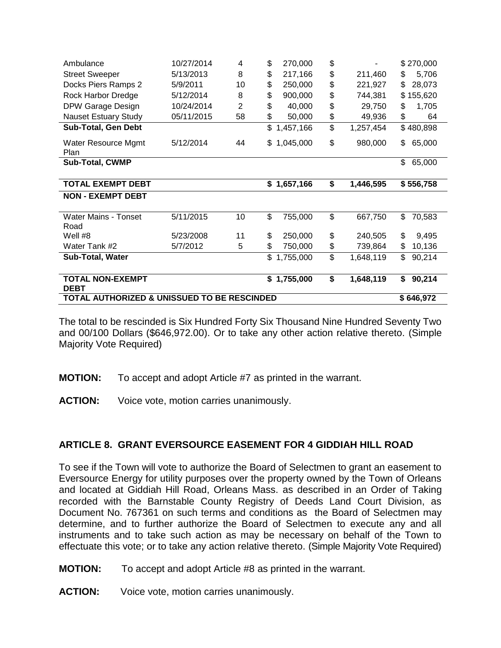| Ambulance                              | 10/27/2014 | 4              | \$       | 270,000              | \$       |                      | \$270,000                    |
|----------------------------------------|------------|----------------|----------|----------------------|----------|----------------------|------------------------------|
| <b>Street Sweeper</b>                  | 5/13/2013  | 8              | \$       | 217,166              | \$       | 211,460              | 5,706<br>\$                  |
| Docks Piers Ramps 2                    | 5/9/2011   | 10             | \$       | 250,000              | \$       | 221,927              | \$<br>28,073                 |
| Rock Harbor Dredge                     | 5/12/2014  | 8              | \$       | 900,000              | \$       | 744,381              | \$155,620                    |
| DPW Garage Design                      | 10/24/2014 | $\overline{2}$ | \$       | 40,000               | \$       | 29,750               | \$<br>1,705                  |
| <b>Nauset Estuary Study</b>            | 05/11/2015 | 58             | \$       | 50,000               | \$       | 49,936               | \$<br>64                     |
| <b>Sub-Total, Gen Debt</b>             |            |                | \$       | 1,457,166            | \$       | 1,257,454            | \$480,898                    |
| Water Resource Mgmt<br>Plan            | 5/12/2014  | 44             | \$       | 1,045,000            | \$       | 980,000              | \$<br>65,000                 |
| <b>Sub-Total, CWMP</b>                 |            |                |          |                      |          |                      | \$<br>65,000                 |
| <b>TOTAL EXEMPT DEBT</b>               |            |                |          | \$1,657,166          | \$       | 1,446,595            | \$556,758                    |
| <b>NON - EXEMPT DEBT</b>               |            |                |          |                      |          |                      |                              |
|                                        |            |                |          |                      |          |                      |                              |
| <b>Water Mains - Tonset</b>            | 5/11/2015  | 10             | \$       | 755,000              | \$       | 667,750              | \$<br>70,583                 |
| Road                                   |            |                |          |                      |          |                      |                              |
| Well #8                                | 5/23/2008  | 11             | \$       | 250,000              | \$       | 240,505              | \$<br>9,495                  |
| Water Tank #2<br>Sub-Total, Water      | 5/7/2012   | 5              | \$<br>\$ | 750,000<br>1,755,000 | \$<br>\$ | 739,864<br>1,648,119 | \$<br>10,136<br>\$<br>90,214 |
| <b>TOTAL NON-EXEMPT</b><br><b>DEBT</b> |            |                |          | \$1,755,000          | \$       | 1,648,119            | 90,214<br>\$                 |

The total to be rescinded is Six Hundred Forty Six Thousand Nine Hundred Seventy Two and 00/100 Dollars (\$646,972.00). Or to take any other action relative thereto. (Simple Majority Vote Required)

**MOTION:** To accept and adopt Article #7 as printed in the warrant.

**ACTION:** Voice vote, motion carries unanimously.

#### **ARTICLE 8. GRANT EVERSOURCE EASEMENT FOR 4 GIDDIAH HILL ROAD**

To see if the Town will vote to authorize the Board of Selectmen to grant an easement to Eversource Energy for utility purposes over the property owned by the Town of Orleans and located at Giddiah Hill Road, Orleans Mass. as described in an Order of Taking recorded with the Barnstable County Registry of Deeds Land Court Division, as Document No. 767361 on such terms and conditions as the Board of Selectmen may determine, and to further authorize the Board of Selectmen to execute any and all instruments and to take such action as may be necessary on behalf of the Town to effectuate this vote; or to take any action relative thereto. (Simple Majority Vote Required)

- **MOTION:** To accept and adopt Article #8 as printed in the warrant.
- **ACTION:** Voice vote, motion carries unanimously.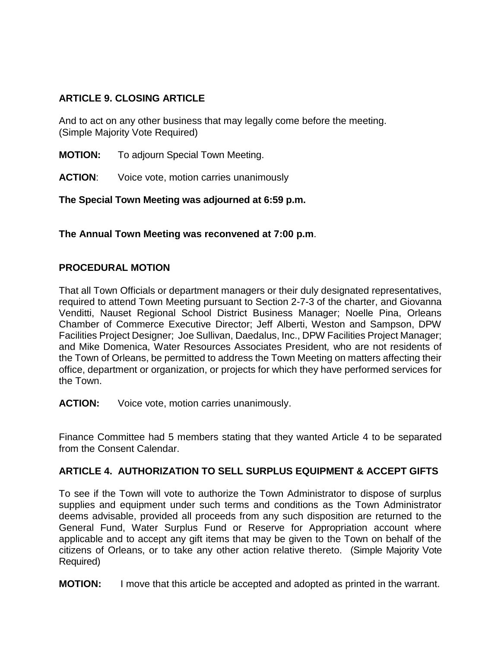# **ARTICLE 9. CLOSING ARTICLE**

And to act on any other business that may legally come before the meeting. (Simple Majority Vote Required)

**MOTION:** To adjourn Special Town Meeting.

**ACTION:** Voice vote, motion carries unanimously

**The Special Town Meeting was adjourned at 6:59 p.m.**

**The Annual Town Meeting was reconvened at 7:00 p.m**.

# **PROCEDURAL MOTION**

That all Town Officials or department managers or their duly designated representatives, required to attend Town Meeting pursuant to Section 2-7-3 of the charter, and Giovanna Venditti, Nauset Regional School District Business Manager; Noelle Pina, Orleans Chamber of Commerce Executive Director; Jeff Alberti, Weston and Sampson, DPW Facilities Project Designer; Joe Sullivan, Daedalus, Inc., DPW Facilities Project Manager; and Mike Domenica, Water Resources Associates President*,* who are not residents of the Town of Orleans, be permitted to address the Town Meeting on matters affecting their office, department or organization, or projects for which they have performed services for the Town.

**ACTION:** Voice vote, motion carries unanimously.

Finance Committee had 5 members stating that they wanted Article 4 to be separated from the Consent Calendar.

# **ARTICLE 4. AUTHORIZATION TO SELL SURPLUS EQUIPMENT & ACCEPT GIFTS**

To see if the Town will vote to authorize the Town Administrator to dispose of surplus supplies and equipment under such terms and conditions as the Town Administrator deems advisable, provided all proceeds from any such disposition are returned to the General Fund, Water Surplus Fund or Reserve for Appropriation account where applicable and to accept any gift items that may be given to the Town on behalf of the citizens of Orleans, or to take any other action relative thereto. (Simple Majority Vote Required)

**MOTION:** I move that this article be accepted and adopted as printed in the warrant.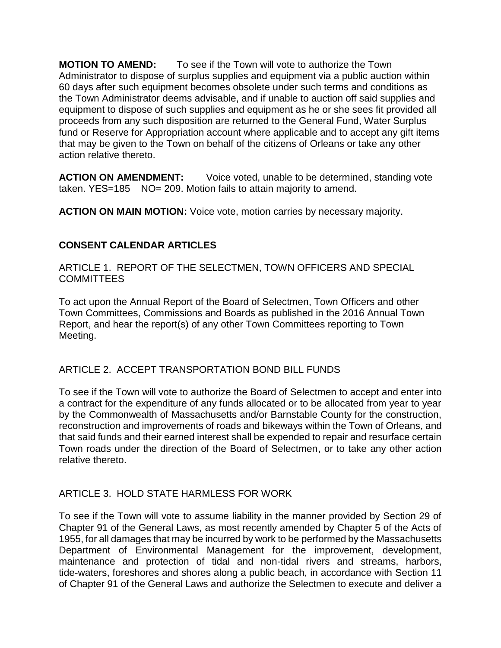**MOTION TO AMEND:** To see if the Town will vote to authorize the Town Administrator to dispose of surplus supplies and equipment via a public auction within 60 days after such equipment becomes obsolete under such terms and conditions as the Town Administrator deems advisable, and if unable to auction off said supplies and equipment to dispose of such supplies and equipment as he or she sees fit provided all proceeds from any such disposition are returned to the General Fund, Water Surplus fund or Reserve for Appropriation account where applicable and to accept any gift items that may be given to the Town on behalf of the citizens of Orleans or take any other action relative thereto.

**ACTION ON AMENDMENT:** Voice voted, unable to be determined, standing vote taken. YES=185 NO= 209. Motion fails to attain majority to amend.

**ACTION ON MAIN MOTION:** Voice vote, motion carries by necessary majority.

# **CONSENT CALENDAR ARTICLES**

ARTICLE 1. REPORT OF THE SELECTMEN, TOWN OFFICERS AND SPECIAL COMMITTEES

To act upon the Annual Report of the Board of Selectmen, Town Officers and other Town Committees, Commissions and Boards as published in the 2016 Annual Town Report, and hear the report(s) of any other Town Committees reporting to Town Meeting.

# ARTICLE 2. ACCEPT TRANSPORTATION BOND BILL FUNDS

To see if the Town will vote to authorize the Board of Selectmen to accept and enter into a contract for the expenditure of any funds allocated or to be allocated from year to year by the Commonwealth of Massachusetts and/or Barnstable County for the construction, reconstruction and improvements of roads and bikeways within the Town of Orleans, and that said funds and their earned interest shall be expended to repair and resurface certain Town roads under the direction of the Board of Selectmen, or to take any other action relative thereto.

# ARTICLE 3. HOLD STATE HARMLESS FOR WORK

To see if the Town will vote to assume liability in the manner provided by Section 29 of Chapter 91 of the General Laws, as most recently amended by Chapter 5 of the Acts of 1955, for all damages that may be incurred by work to be performed by the Massachusetts Department of Environmental Management for the improvement, development, maintenance and protection of tidal and non-tidal rivers and streams, harbors, tide-waters, foreshores and shores along a public beach, in accordance with Section 11 of Chapter 91 of the General Laws and authorize the Selectmen to execute and deliver a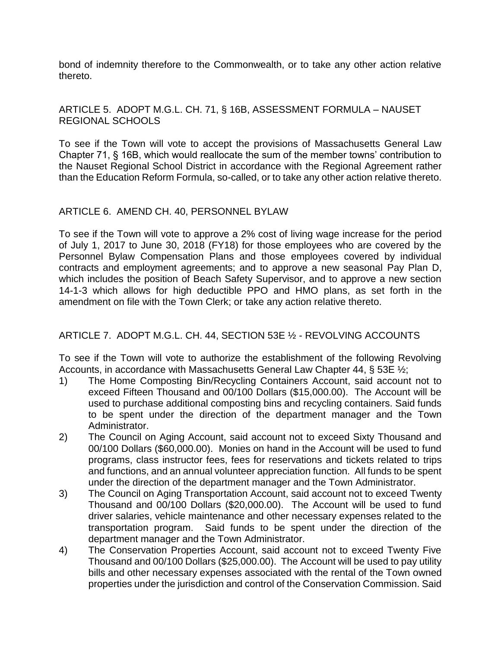bond of indemnity therefore to the Commonwealth, or to take any other action relative thereto.

# ARTICLE 5. ADOPT M.G.L. CH. 71, § 16B, ASSESSMENT FORMULA – NAUSET REGIONAL SCHOOLS

To see if the Town will vote to accept the provisions of Massachusetts General Law Chapter 71, § 16B, which would reallocate the sum of the member towns' contribution to the Nauset Regional School District in accordance with the Regional Agreement rather than the Education Reform Formula, so-called, or to take any other action relative thereto.

#### ARTICLE 6. AMEND CH. 40, PERSONNEL BYLAW

To see if the Town will vote to approve a 2% cost of living wage increase for the period of July 1, 2017 to June 30, 2018 (FY18) for those employees who are covered by the Personnel Bylaw Compensation Plans and those employees covered by individual contracts and employment agreements; and to approve a new seasonal Pay Plan D, which includes the position of Beach Safety Supervisor, and to approve a new section 14-1-3 which allows for high deductible PPO and HMO plans, as set forth in the amendment on file with the Town Clerk; or take any action relative thereto.

# ARTICLE 7. ADOPT M.G.L. CH. 44, SECTION 53E ½ - REVOLVING ACCOUNTS

To see if the Town will vote to authorize the establishment of the following Revolving Accounts, in accordance with Massachusetts General Law Chapter 44, § 53E ½;

- 1) The Home Composting Bin/Recycling Containers Account, said account not to exceed Fifteen Thousand and 00/100 Dollars (\$15,000.00). The Account will be used to purchase additional composting bins and recycling containers. Said funds to be spent under the direction of the department manager and the Town Administrator.
- 2) The Council on Aging Account, said account not to exceed Sixty Thousand and 00/100 Dollars (\$60,000.00). Monies on hand in the Account will be used to fund programs, class instructor fees, fees for reservations and tickets related to trips and functions, and an annual volunteer appreciation function. All funds to be spent under the direction of the department manager and the Town Administrator.
- 3) The Council on Aging Transportation Account, said account not to exceed Twenty Thousand and 00/100 Dollars (\$20,000.00). The Account will be used to fund driver salaries, vehicle maintenance and other necessary expenses related to the transportation program. Said funds to be spent under the direction of the department manager and the Town Administrator.
- 4) The Conservation Properties Account, said account not to exceed Twenty Five Thousand and 00/100 Dollars (\$25,000.00). The Account will be used to pay utility bills and other necessary expenses associated with the rental of the Town owned properties under the jurisdiction and control of the Conservation Commission. Said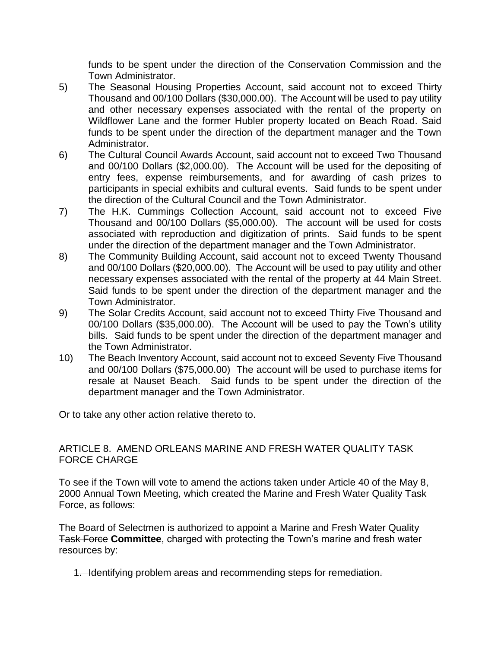funds to be spent under the direction of the Conservation Commission and the Town Administrator.

- 5) The Seasonal Housing Properties Account, said account not to exceed Thirty Thousand and 00/100 Dollars (\$30,000.00). The Account will be used to pay utility and other necessary expenses associated with the rental of the property on Wildflower Lane and the former Hubler property located on Beach Road. Said funds to be spent under the direction of the department manager and the Town Administrator.
- 6) The Cultural Council Awards Account, said account not to exceed Two Thousand and 00/100 Dollars (\$2,000.00). The Account will be used for the depositing of entry fees, expense reimbursements, and for awarding of cash prizes to participants in special exhibits and cultural events. Said funds to be spent under the direction of the Cultural Council and the Town Administrator.
- 7) The H.K. Cummings Collection Account, said account not to exceed Five Thousand and 00/100 Dollars (\$5,000.00). The account will be used for costs associated with reproduction and digitization of prints. Said funds to be spent under the direction of the department manager and the Town Administrator.
- 8) The Community Building Account, said account not to exceed Twenty Thousand and 00/100 Dollars (\$20,000.00). The Account will be used to pay utility and other necessary expenses associated with the rental of the property at 44 Main Street. Said funds to be spent under the direction of the department manager and the Town Administrator.
- 9) The Solar Credits Account, said account not to exceed Thirty Five Thousand and 00/100 Dollars (\$35,000.00). The Account will be used to pay the Town's utility bills. Said funds to be spent under the direction of the department manager and the Town Administrator.
- 10) The Beach Inventory Account, said account not to exceed Seventy Five Thousand and 00/100 Dollars (\$75,000.00) The account will be used to purchase items for resale at Nauset Beach. Said funds to be spent under the direction of the department manager and the Town Administrator.

Or to take any other action relative thereto to.

## ARTICLE 8. AMEND ORLEANS MARINE AND FRESH WATER QUALITY TASK FORCE CHARGE

To see if the Town will vote to amend the actions taken under Article 40 of the May 8, 2000 Annual Town Meeting, which created the Marine and Fresh Water Quality Task Force, as follows:

The Board of Selectmen is authorized to appoint a Marine and Fresh Water Quality Task Force **Committee**, charged with protecting the Town's marine and fresh water resources by:

1. Identifying problem areas and recommending steps for remediation.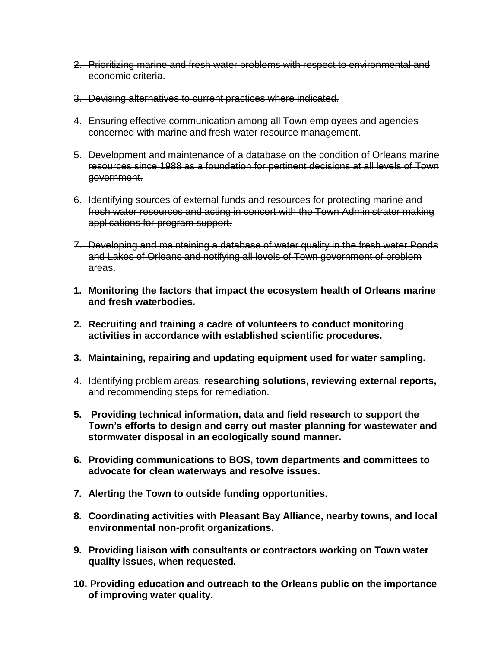- 2. Prioritizing marine and fresh water problems with respect to environmental and economic criteria.
- 3. Devising alternatives to current practices where indicated.
- 4. Ensuring effective communication among all Town employees and agencies concerned with marine and fresh water resource management.
- 5. Development and maintenance of a database on the condition of Orleans marine resources since 1988 as a foundation for pertinent decisions at all levels of Town government.
- 6. Identifying sources of external funds and resources for protecting marine and fresh water resources and acting in concert with the Town Administrator making applications for program support.
- 7. Developing and maintaining a database of water quality in the fresh water Ponds and Lakes of Orleans and notifying all levels of Town government of problem areas.
- **1. Monitoring the factors that impact the ecosystem health of Orleans marine and fresh waterbodies.**
- **2. Recruiting and training a cadre of volunteers to conduct monitoring activities in accordance with established scientific procedures.**
- **3. Maintaining, repairing and updating equipment used for water sampling.**
- 4. Identifying problem areas, **researching solutions, reviewing external reports,**  and recommending steps for remediation.
- **5. Providing technical information, data and field research to support the Town's efforts to design and carry out master planning for wastewater and stormwater disposal in an ecologically sound manner.**
- **6. Providing communications to BOS, town departments and committees to advocate for clean waterways and resolve issues.**
- **7. Alerting the Town to outside funding opportunities.**
- **8. Coordinating activities with Pleasant Bay Alliance, nearby towns, and local environmental non-profit organizations.**
- **9. Providing liaison with consultants or contractors working on Town water quality issues, when requested.**
- **10. Providing education and outreach to the Orleans public on the importance of improving water quality.**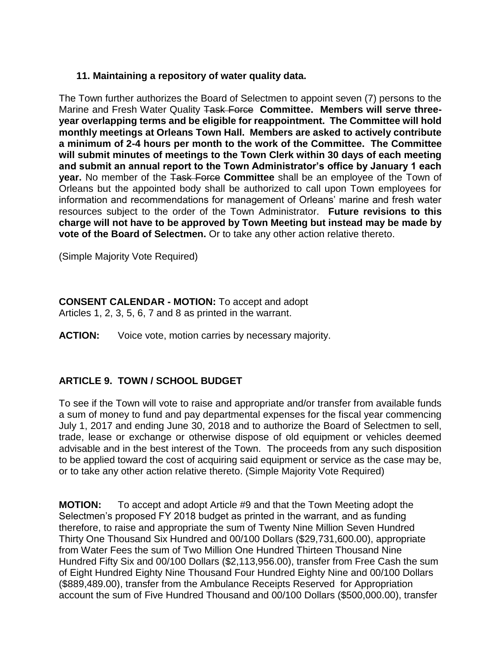# **11. Maintaining a repository of water quality data.**

The Town further authorizes the Board of Selectmen to appoint seven (7) persons to the Marine and Fresh Water Quality Task Force **Committee. Members will serve threeyear overlapping terms and be eligible for reappointment. The Committee will hold monthly meetings at Orleans Town Hall. Members are asked to actively contribute a minimum of 2-4 hours per month to the work of the Committee. The Committee will submit minutes of meetings to the Town Clerk within 30 days of each meeting and submit an annual report to the Town Administrator's office by January 1 each year.** No member of the Task Force Committee shall be an employee of the Town of Orleans but the appointed body shall be authorized to call upon Town employees for information and recommendations for management of Orleans' marine and fresh water resources subject to the order of the Town Administrator. **Future revisions to this charge will not have to be approved by Town Meeting but instead may be made by vote of the Board of Selectmen.** Or to take any other action relative thereto.

(Simple Majority Vote Required)

#### **CONSENT CALENDAR - MOTION:** To accept and adopt Articles 1, 2, 3, 5, 6, 7 and 8 as printed in the warrant.

**ACTION:** Voice vote, motion carries by necessary majority.

# **ARTICLE 9. TOWN / SCHOOL BUDGET**

To see if the Town will vote to raise and appropriate and/or transfer from available funds a sum of money to fund and pay departmental expenses for the fiscal year commencing July 1, 2017 and ending June 30, 2018 and to authorize the Board of Selectmen to sell, trade, lease or exchange or otherwise dispose of old equipment or vehicles deemed advisable and in the best interest of the Town. The proceeds from any such disposition to be applied toward the cost of acquiring said equipment or service as the case may be, or to take any other action relative thereto. (Simple Majority Vote Required)

**MOTION:** To accept and adopt Article #9 and that the Town Meeting adopt the Selectmen's proposed FY 2018 budget as printed in the warrant, and as funding therefore, to raise and appropriate the sum of Twenty Nine Million Seven Hundred Thirty One Thousand Six Hundred and 00/100 Dollars (\$29,731,600.00), appropriate from Water Fees the sum of Two Million One Hundred Thirteen Thousand Nine Hundred Fifty Six and 00/100 Dollars (\$2,113,956.00), transfer from Free Cash the sum of Eight Hundred Eighty Nine Thousand Four Hundred Eighty Nine and 00/100 Dollars (\$889,489.00), transfer from the Ambulance Receipts Reserved for Appropriation account the sum of Five Hundred Thousand and 00/100 Dollars (\$500,000.00), transfer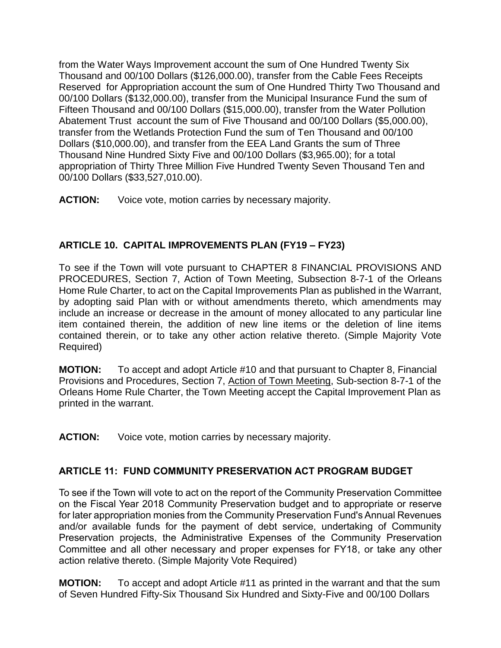from the Water Ways Improvement account the sum of One Hundred Twenty Six Thousand and 00/100 Dollars (\$126,000.00), transfer from the Cable Fees Receipts Reserved for Appropriation account the sum of One Hundred Thirty Two Thousand and 00/100 Dollars (\$132,000.00), transfer from the Municipal Insurance Fund the sum of Fifteen Thousand and 00/100 Dollars (\$15,000.00), transfer from the Water Pollution Abatement Trust account the sum of Five Thousand and 00/100 Dollars (\$5,000.00), transfer from the Wetlands Protection Fund the sum of Ten Thousand and 00/100 Dollars (\$10,000.00), and transfer from the EEA Land Grants the sum of Three Thousand Nine Hundred Sixty Five and 00/100 Dollars (\$3,965.00); for a total appropriation of Thirty Three Million Five Hundred Twenty Seven Thousand Ten and 00/100 Dollars (\$33,527,010.00).

**ACTION:** Voice vote, motion carries by necessary majority.

# **ARTICLE 10. CAPITAL IMPROVEMENTS PLAN (FY19 – FY23)**

To see if the Town will vote pursuant to CHAPTER 8 FINANCIAL PROVISIONS AND PROCEDURES, Section 7, Action of Town Meeting, Subsection 8-7-1 of the Orleans Home Rule Charter, to act on the Capital Improvements Plan as published in the Warrant, by adopting said Plan with or without amendments thereto, which amendments may include an increase or decrease in the amount of money allocated to any particular line item contained therein, the addition of new line items or the deletion of line items contained therein, or to take any other action relative thereto. (Simple Majority Vote Required)

**MOTION:** To accept and adopt Article #10 and that pursuant to Chapter 8, Financial Provisions and Procedures, Section 7, Action of Town Meeting, Sub-section 8-7-1 of the Orleans Home Rule Charter, the Town Meeting accept the Capital Improvement Plan as printed in the warrant.

**ACTION:** Voice vote, motion carries by necessary majority.

# **ARTICLE 11: FUND COMMUNITY PRESERVATION ACT PROGRAM BUDGET**

To see if the Town will vote to act on the report of the Community Preservation Committee on the Fiscal Year 2018 Community Preservation budget and to appropriate or reserve for later appropriation monies from the Community Preservation Fund's Annual Revenues and/or available funds for the payment of debt service, undertaking of Community Preservation projects, the Administrative Expenses of the Community Preservation Committee and all other necessary and proper expenses for FY18, or take any other action relative thereto. (Simple Majority Vote Required)

**MOTION:** To accept and adopt Article #11 as printed in the warrant and that the sum of Seven Hundred Fifty-Six Thousand Six Hundred and Sixty-Five and 00/100 Dollars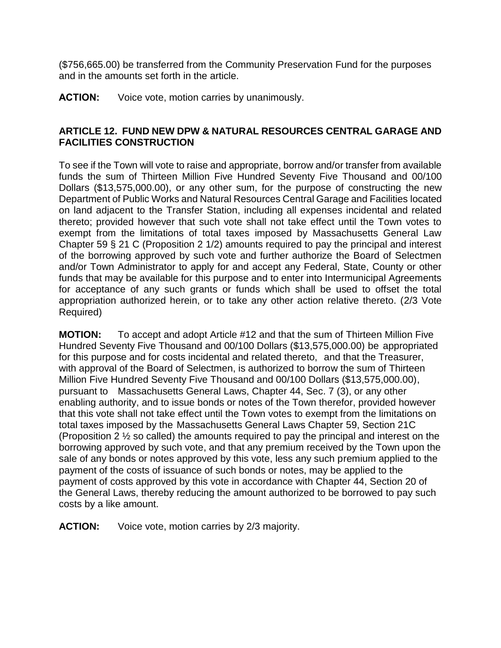(\$756,665.00) be transferred from the Community Preservation Fund for the purposes and in the amounts set forth in the article.

**ACTION:** Voice vote, motion carries by unanimously.

# **ARTICLE 12. FUND NEW DPW & NATURAL RESOURCES CENTRAL GARAGE AND FACILITIES CONSTRUCTION**

To see if the Town will vote to raise and appropriate, borrow and/or transfer from available funds the sum of Thirteen Million Five Hundred Seventy Five Thousand and 00/100 Dollars (\$13,575,000.00), or any other sum, for the purpose of constructing the new Department of Public Works and Natural Resources Central Garage and Facilities located on land adjacent to the Transfer Station, including all expenses incidental and related thereto; provided however that such vote shall not take effect until the Town votes to exempt from the limitations of total taxes imposed by Massachusetts General Law Chapter 59 § 21 C (Proposition 2 1/2) amounts required to pay the principal and interest of the borrowing approved by such vote and further authorize the Board of Selectmen and/or Town Administrator to apply for and accept any Federal, State, County or other funds that may be available for this purpose and to enter into Intermunicipal Agreements for acceptance of any such grants or funds which shall be used to offset the total appropriation authorized herein, or to take any other action relative thereto. (2/3 Vote Required)

**MOTION:** To accept and adopt Article #12 and that the sum of Thirteen Million Five Hundred Seventy Five Thousand and 00/100 Dollars (\$13,575,000.00) be appropriated for this purpose and for costs incidental and related thereto, and that the Treasurer, with approval of the Board of Selectmen, is authorized to borrow the sum of Thirteen Million Five Hundred Seventy Five Thousand and 00/100 Dollars (\$13,575,000.00), pursuant to Massachusetts General Laws, Chapter 44, Sec. 7 (3), or any other enabling authority, and to issue bonds or notes of the Town therefor, provided however that this vote shall not take effect until the Town votes to exempt from the limitations on total taxes imposed by the Massachusetts General Laws Chapter 59, Section 21C (Proposition 2 ½ so called) the amounts required to pay the principal and interest on the borrowing approved by such vote, and that any premium received by the Town upon the sale of any bonds or notes approved by this vote, less any such premium applied to the payment of the costs of issuance of such bonds or notes, may be applied to the payment of costs approved by this vote in accordance with Chapter 44, Section 20 of the General Laws, thereby reducing the amount authorized to be borrowed to pay such costs by a like amount.

**ACTION:** Voice vote, motion carries by 2/3 majority.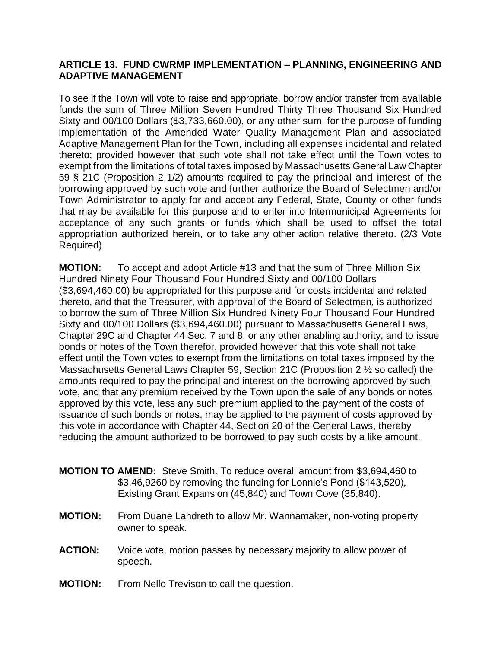#### **ARTICLE 13. FUND CWRMP IMPLEMENTATION – PLANNING, ENGINEERING AND ADAPTIVE MANAGEMENT**

To see if the Town will vote to raise and appropriate, borrow and/or transfer from available funds the sum of Three Million Seven Hundred Thirty Three Thousand Six Hundred Sixty and 00/100 Dollars (\$3,733,660.00), or any other sum, for the purpose of funding implementation of the Amended Water Quality Management Plan and associated Adaptive Management Plan for the Town, including all expenses incidental and related thereto; provided however that such vote shall not take effect until the Town votes to exempt from the limitations of total taxes imposed by Massachusetts General Law Chapter 59 § 21C (Proposition 2 1/2) amounts required to pay the principal and interest of the borrowing approved by such vote and further authorize the Board of Selectmen and/or Town Administrator to apply for and accept any Federal, State, County or other funds that may be available for this purpose and to enter into Intermunicipal Agreements for acceptance of any such grants or funds which shall be used to offset the total appropriation authorized herein, or to take any other action relative thereto. (2/3 Vote Required)

**MOTION:** To accept and adopt Article #13 and that the sum of Three Million Six Hundred Ninety Four Thousand Four Hundred Sixty and 00/100 Dollars (\$3,694,460.00) be appropriated for this purpose and for costs incidental and related thereto, and that the Treasurer, with approval of the Board of Selectmen, is authorized to borrow the sum of Three Million Six Hundred Ninety Four Thousand Four Hundred Sixty and 00/100 Dollars (\$3,694,460.00) pursuant to Massachusetts General Laws, Chapter 29C and Chapter 44 Sec. 7 and 8, or any other enabling authority, and to issue bonds or notes of the Town therefor, provided however that this vote shall not take effect until the Town votes to exempt from the limitations on total taxes imposed by the Massachusetts General Laws Chapter 59, Section 21C (Proposition 2 ½ so called) the amounts required to pay the principal and interest on the borrowing approved by such vote, and that any premium received by the Town upon the sale of any bonds or notes approved by this vote, less any such premium applied to the payment of the costs of issuance of such bonds or notes, may be applied to the payment of costs approved by this vote in accordance with Chapter 44, Section 20 of the General Laws, thereby reducing the amount authorized to be borrowed to pay such costs by a like amount.

- **MOTION TO AMEND:** Steve Smith. To reduce overall amount from \$3,694,460 to \$3,46,9260 by removing the funding for Lonnie's Pond (\$143,520), Existing Grant Expansion (45,840) and Town Cove (35,840).
- **MOTION:** From Duane Landreth to allow Mr. Wannamaker, non-voting property owner to speak.
- **ACTION:** Voice vote, motion passes by necessary majority to allow power of speech.
- **MOTION:** From Nello Trevison to call the question.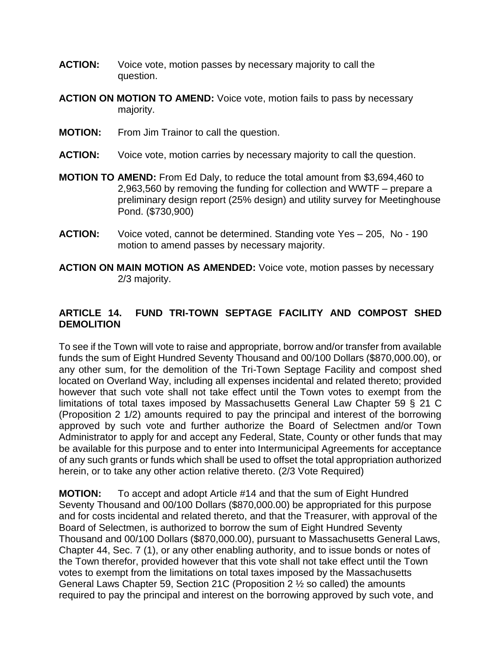- **ACTION:** Voice vote, motion passes by necessary majority to call the question.
- **ACTION ON MOTION TO AMEND:** Voice vote, motion fails to pass by necessary majority.
- **MOTION:** From Jim Trainor to call the question.
- **ACTION:** Voice vote, motion carries by necessary majority to call the question.
- **MOTION TO AMEND:** From Ed Daly, to reduce the total amount from \$3,694,460 to 2,963,560 by removing the funding for collection and WWTF – prepare a preliminary design report (25% design) and utility survey for Meetinghouse Pond. (\$730,900)
- **ACTION:** Voice voted, cannot be determined. Standing vote Yes 205, No 190 motion to amend passes by necessary majority.
- **ACTION ON MAIN MOTION AS AMENDED:** Voice vote, motion passes by necessary 2/3 majority.

# **ARTICLE 14. FUND TRI-TOWN SEPTAGE FACILITY AND COMPOST SHED DEMOLITION**

To see if the Town will vote to raise and appropriate, borrow and/or transfer from available funds the sum of Eight Hundred Seventy Thousand and 00/100 Dollars (\$870,000.00), or any other sum, for the demolition of the Tri-Town Septage Facility and compost shed located on Overland Way, including all expenses incidental and related thereto; provided however that such vote shall not take effect until the Town votes to exempt from the limitations of total taxes imposed by Massachusetts General Law Chapter 59 § 21 C (Proposition 2 1/2) amounts required to pay the principal and interest of the borrowing approved by such vote and further authorize the Board of Selectmen and/or Town Administrator to apply for and accept any Federal, State, County or other funds that may be available for this purpose and to enter into Intermunicipal Agreements for acceptance of any such grants or funds which shall be used to offset the total appropriation authorized herein, or to take any other action relative thereto. (2/3 Vote Required)

**MOTION:** To accept and adopt Article #14 and that the sum of Eight Hundred Seventy Thousand and 00/100 Dollars (\$870,000.00) be appropriated for this purpose and for costs incidental and related thereto, and that the Treasurer, with approval of the Board of Selectmen, is authorized to borrow the sum of Eight Hundred Seventy Thousand and 00/100 Dollars (\$870,000.00), pursuant to Massachusetts General Laws, Chapter 44, Sec. 7 (1), or any other enabling authority, and to issue bonds or notes of the Town therefor, provided however that this vote shall not take effect until the Town votes to exempt from the limitations on total taxes imposed by the Massachusetts General Laws Chapter 59, Section 21C (Proposition 2 ½ so called) the amounts required to pay the principal and interest on the borrowing approved by such vote, and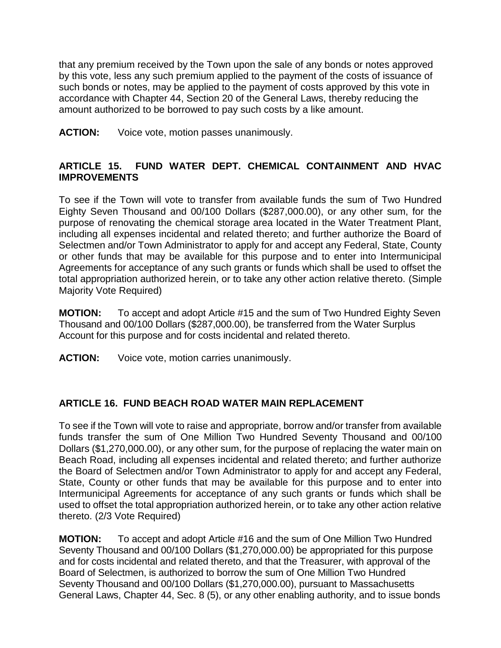that any premium received by the Town upon the sale of any bonds or notes approved by this vote, less any such premium applied to the payment of the costs of issuance of such bonds or notes, may be applied to the payment of costs approved by this vote in accordance with Chapter 44, Section 20 of the General Laws, thereby reducing the amount authorized to be borrowed to pay such costs by a like amount.

**ACTION:** Voice vote, motion passes unanimously.

# **ARTICLE 15. FUND WATER DEPT. CHEMICAL CONTAINMENT AND HVAC IMPROVEMENTS**

To see if the Town will vote to transfer from available funds the sum of Two Hundred Eighty Seven Thousand and 00/100 Dollars (\$287,000.00), or any other sum, for the purpose of renovating the chemical storage area located in the Water Treatment Plant, including all expenses incidental and related thereto; and further authorize the Board of Selectmen and/or Town Administrator to apply for and accept any Federal, State, County or other funds that may be available for this purpose and to enter into Intermunicipal Agreements for acceptance of any such grants or funds which shall be used to offset the total appropriation authorized herein, or to take any other action relative thereto. (Simple Majority Vote Required)

**MOTION:** To accept and adopt Article #15 and the sum of Two Hundred Eighty Seven Thousand and 00/100 Dollars (\$287,000.00), be transferred from the Water Surplus Account for this purpose and for costs incidental and related thereto.

**ACTION:** Voice vote, motion carries unanimously.

# **ARTICLE 16. FUND BEACH ROAD WATER MAIN REPLACEMENT**

To see if the Town will vote to raise and appropriate, borrow and/or transfer from available funds transfer the sum of One Million Two Hundred Seventy Thousand and 00/100 Dollars (\$1,270,000.00), or any other sum, for the purpose of replacing the water main on Beach Road, including all expenses incidental and related thereto; and further authorize the Board of Selectmen and/or Town Administrator to apply for and accept any Federal, State, County or other funds that may be available for this purpose and to enter into Intermunicipal Agreements for acceptance of any such grants or funds which shall be used to offset the total appropriation authorized herein, or to take any other action relative thereto. (2/3 Vote Required)

**MOTION:** To accept and adopt Article #16 and the sum of One Million Two Hundred Seventy Thousand and 00/100 Dollars (\$1,270,000.00) be appropriated for this purpose and for costs incidental and related thereto, and that the Treasurer, with approval of the Board of Selectmen, is authorized to borrow the sum of One Million Two Hundred Seventy Thousand and 00/100 Dollars (\$1,270,000.00), pursuant to Massachusetts General Laws, Chapter 44, Sec. 8 (5), or any other enabling authority, and to issue bonds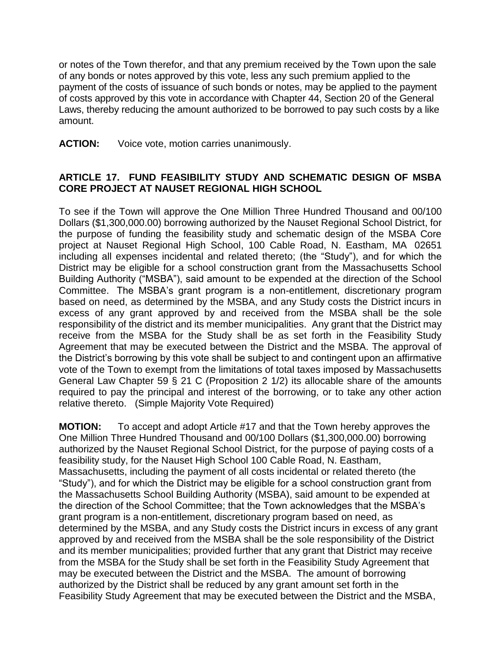or notes of the Town therefor, and that any premium received by the Town upon the sale of any bonds or notes approved by this vote, less any such premium applied to the payment of the costs of issuance of such bonds or notes, may be applied to the payment of costs approved by this vote in accordance with Chapter 44, Section 20 of the General Laws, thereby reducing the amount authorized to be borrowed to pay such costs by a like amount.

**ACTION:** Voice vote, motion carries unanimously.

#### **ARTICLE 17. FUND FEASIBILITY STUDY AND SCHEMATIC DESIGN OF MSBA CORE PROJECT AT NAUSET REGIONAL HIGH SCHOOL**

To see if the Town will approve the One Million Three Hundred Thousand and 00/100 Dollars (\$1,300,000.00) borrowing authorized by the Nauset Regional School District, for the purpose of funding the feasibility study and schematic design of the MSBA Core project at Nauset Regional High School, 100 Cable Road, N. Eastham, MA 02651 including all expenses incidental and related thereto; (the "Study"), and for which the District may be eligible for a school construction grant from the Massachusetts School Building Authority ("MSBA"), said amount to be expended at the direction of the School Committee. The MSBA's grant program is a non-entitlement, discretionary program based on need, as determined by the MSBA, and any Study costs the District incurs in excess of any grant approved by and received from the MSBA shall be the sole responsibility of the district and its member municipalities. Any grant that the District may receive from the MSBA for the Study shall be as set forth in the Feasibility Study Agreement that may be executed between the District and the MSBA. The approval of the District's borrowing by this vote shall be subject to and contingent upon an affirmative vote of the Town to exempt from the limitations of total taxes imposed by Massachusetts General Law Chapter 59 § 21 C (Proposition 2 1/2) its allocable share of the amounts required to pay the principal and interest of the borrowing, or to take any other action relative thereto. (Simple Majority Vote Required)

**MOTION:** To accept and adopt Article #17 and that the Town hereby approves the One Million Three Hundred Thousand and 00/100 Dollars (\$1,300,000.00) borrowing authorized by the Nauset Regional School District, for the purpose of paying costs of a feasibility study, for the Nauset High School 100 Cable Road, N. Eastham, Massachusetts, including the payment of all costs incidental or related thereto (the "Study"), and for which the District may be eligible for a school construction grant from the Massachusetts School Building Authority (MSBA), said amount to be expended at the direction of the School Committee; that the Town acknowledges that the MSBA's grant program is a non-entitlement, discretionary program based on need, as determined by the MSBA, and any Study costs the District incurs in excess of any grant approved by and received from the MSBA shall be the sole responsibility of the District and its member municipalities; provided further that any grant that District may receive from the MSBA for the Study shall be set forth in the Feasibility Study Agreement that may be executed between the District and the MSBA. The amount of borrowing authorized by the District shall be reduced by any grant amount set forth in the Feasibility Study Agreement that may be executed between the District and the MSBA,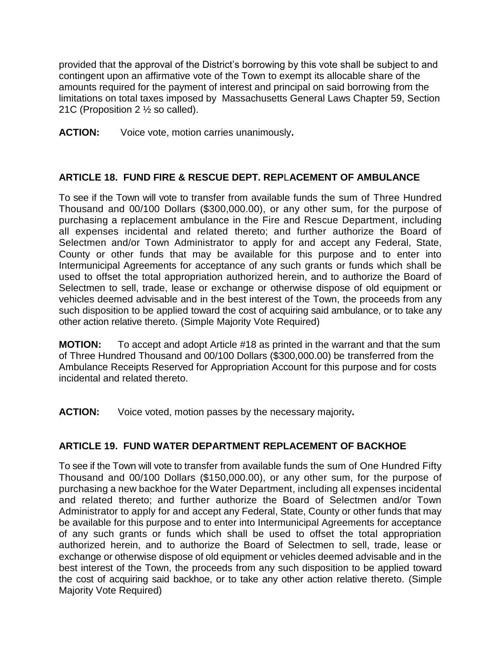provided that the approval of the District's borrowing by this vote shall be subject to and contingent upon an affirmative vote of the Town to exempt its allocable share of the amounts required for the payment of interest and principal on said borrowing from the limitations on total taxes imposed by Massachusetts General Laws Chapter 59, Section 21C (Proposition 2 ½ so called).

**ACTION:** Voice vote, motion carries unanimously**.**

# **ARTICLE 18. FUND FIRE & RESCUE DEPT. REP**L**ACEMENT OF AMBULANCE**

To see if the Town will vote to transfer from available funds the sum of Three Hundred Thousand and 00/100 Dollars (\$300,000.00), or any other sum, for the purpose of purchasing a replacement ambulance in the Fire and Rescue Department, including all expenses incidental and related thereto; and further authorize the Board of Selectmen and/or Town Administrator to apply for and accept any Federal, State, County or other funds that may be available for this purpose and to enter into Intermunicipal Agreements for acceptance of any such grants or funds which shall be used to offset the total appropriation authorized herein, and to authorize the Board of Selectmen to sell, trade, lease or exchange or otherwise dispose of old equipment or vehicles deemed advisable and in the best interest of the Town, the proceeds from any such disposition to be applied toward the cost of acquiring said ambulance, or to take any other action relative thereto. (Simple Majority Vote Required)

**MOTION:** To accept and adopt Article #18 as printed in the warrant and that the sum of Three Hundred Thousand and 00/100 Dollars (\$300,000.00) be transferred from the Ambulance Receipts Reserved for Appropriation Account for this purpose and for costs incidental and related thereto.

**ACTION:** Voice voted, motion passes by the necessary majority**.**

# **ARTICLE 19. FUND WATER DEPARTMENT REPLACEMENT OF BACKHOE**

To see if the Town will vote to transfer from available funds the sum of One Hundred Fifty Thousand and 00/100 Dollars (\$150,000.00), or any other sum, for the purpose of purchasing a new backhoe for the Water Department, including all expenses incidental and related thereto; and further authorize the Board of Selectmen and/or Town Administrator to apply for and accept any Federal, State, County or other funds that may be available for this purpose and to enter into Intermunicipal Agreements for acceptance of any such grants or funds which shall be used to offset the total appropriation authorized herein, and to authorize the Board of Selectmen to sell, trade, lease or exchange or otherwise dispose of old equipment or vehicles deemed advisable and in the best interest of the Town, the proceeds from any such disposition to be applied toward the cost of acquiring said backhoe, or to take any other action relative thereto. (Simple Majority Vote Required)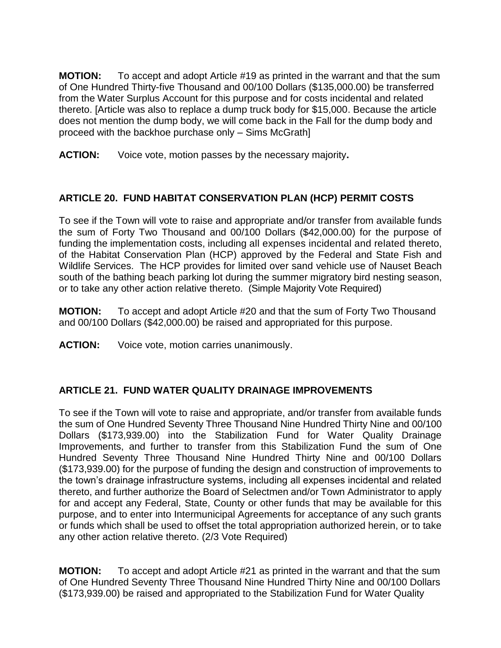**MOTION:** To accept and adopt Article #19 as printed in the warrant and that the sum of One Hundred Thirty-five Thousand and 00/100 Dollars (\$135,000.00) be transferred from the Water Surplus Account for this purpose and for costs incidental and related thereto. [Article was also to replace a dump truck body for \$15,000. Because the article does not mention the dump body, we will come back in the Fall for the dump body and proceed with the backhoe purchase only – Sims McGrath]

**ACTION:** Voice vote, motion passes by the necessary majority**.**

# **ARTICLE 20. FUND HABITAT CONSERVATION PLAN (HCP) PERMIT COSTS**

To see if the Town will vote to raise and appropriate and/or transfer from available funds the sum of Forty Two Thousand and 00/100 Dollars (\$42,000.00) for the purpose of funding the implementation costs, including all expenses incidental and related thereto, of the Habitat Conservation Plan (HCP) approved by the Federal and State Fish and Wildlife Services. The HCP provides for limited over sand vehicle use of Nauset Beach south of the bathing beach parking lot during the summer migratory bird nesting season, or to take any other action relative thereto. (Simple Majority Vote Required)

**MOTION:** To accept and adopt Article #20 and that the sum of Forty Two Thousand and 00/100 Dollars (\$42,000.00) be raised and appropriated for this purpose.

**ACTION:** Voice vote, motion carries unanimously.

# **ARTICLE 21. FUND WATER QUALITY DRAINAGE IMPROVEMENTS**

To see if the Town will vote to raise and appropriate, and/or transfer from available funds the sum of One Hundred Seventy Three Thousand Nine Hundred Thirty Nine and 00/100 Dollars (\$173,939.00) into the Stabilization Fund for Water Quality Drainage Improvements, and further to transfer from this Stabilization Fund the sum of One Hundred Seventy Three Thousand Nine Hundred Thirty Nine and 00/100 Dollars (\$173,939.00) for the purpose of funding the design and construction of improvements to the town's drainage infrastructure systems, including all expenses incidental and related thereto, and further authorize the Board of Selectmen and/or Town Administrator to apply for and accept any Federal, State, County or other funds that may be available for this purpose, and to enter into Intermunicipal Agreements for acceptance of any such grants or funds which shall be used to offset the total appropriation authorized herein, or to take any other action relative thereto. (2/3 Vote Required)

**MOTION:** To accept and adopt Article #21 as printed in the warrant and that the sum of One Hundred Seventy Three Thousand Nine Hundred Thirty Nine and 00/100 Dollars (\$173,939.00) be raised and appropriated to the Stabilization Fund for Water Quality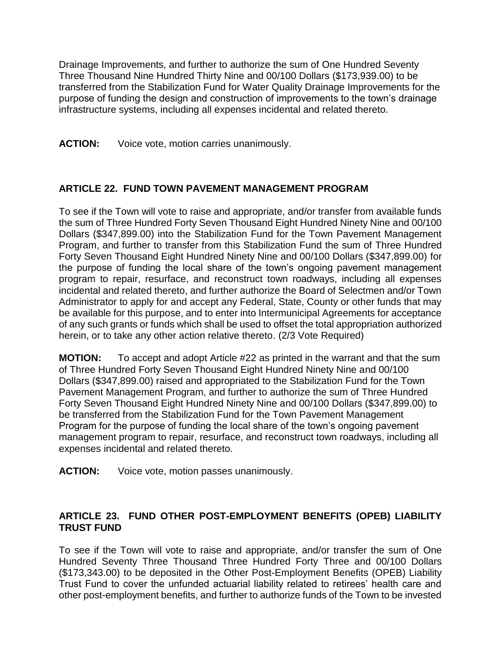Drainage Improvements, and further to authorize the sum of One Hundred Seventy Three Thousand Nine Hundred Thirty Nine and 00/100 Dollars (\$173,939.00) to be transferred from the Stabilization Fund for Water Quality Drainage Improvements for the purpose of funding the design and construction of improvements to the town's drainage infrastructure systems, including all expenses incidental and related thereto.

## **ACTION:** Voice vote, motion carries unanimously.

# **ARTICLE 22. FUND TOWN PAVEMENT MANAGEMENT PROGRAM**

To see if the Town will vote to raise and appropriate, and/or transfer from available funds the sum of Three Hundred Forty Seven Thousand Eight Hundred Ninety Nine and 00/100 Dollars (\$347,899.00) into the Stabilization Fund for the Town Pavement Management Program, and further to transfer from this Stabilization Fund the sum of Three Hundred Forty Seven Thousand Eight Hundred Ninety Nine and 00/100 Dollars (\$347,899.00) for the purpose of funding the local share of the town's ongoing pavement management program to repair, resurface, and reconstruct town roadways, including all expenses incidental and related thereto, and further authorize the Board of Selectmen and/or Town Administrator to apply for and accept any Federal, State, County or other funds that may be available for this purpose, and to enter into Intermunicipal Agreements for acceptance of any such grants or funds which shall be used to offset the total appropriation authorized herein, or to take any other action relative thereto. (2/3 Vote Required)

**MOTION:** To accept and adopt Article #22 as printed in the warrant and that the sum of Three Hundred Forty Seven Thousand Eight Hundred Ninety Nine and 00/100 Dollars (\$347,899.00) raised and appropriated to the Stabilization Fund for the Town Pavement Management Program, and further to authorize the sum of Three Hundred Forty Seven Thousand Eight Hundred Ninety Nine and 00/100 Dollars (\$347,899.00) to be transferred from the Stabilization Fund for the Town Pavement Management Program for the purpose of funding the local share of the town's ongoing pavement management program to repair, resurface, and reconstruct town roadways, including all expenses incidental and related thereto.

**ACTION:** Voice vote, motion passes unanimously.

## **ARTICLE 23. FUND OTHER POST-EMPLOYMENT BENEFITS (OPEB) LIABILITY TRUST FUND**

To see if the Town will vote to raise and appropriate, and/or transfer the sum of One Hundred Seventy Three Thousand Three Hundred Forty Three and 00/100 Dollars (\$173,343.00) to be deposited in the Other Post-Employment Benefits (OPEB) Liability Trust Fund to cover the unfunded actuarial liability related to retirees' health care and other post-employment benefits, and further to authorize funds of the Town to be invested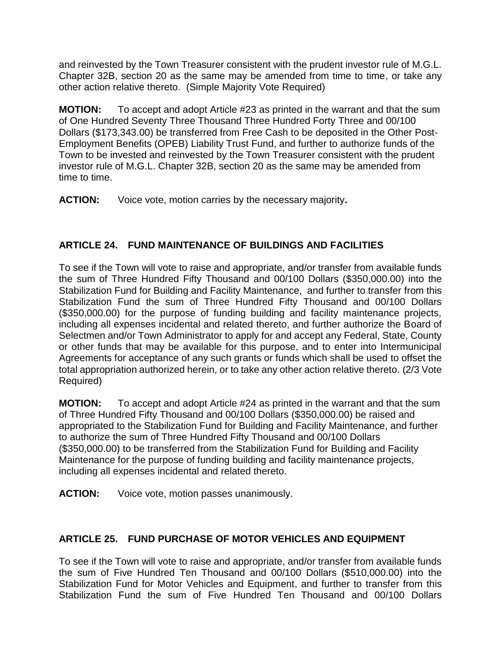and reinvested by the Town Treasurer consistent with the prudent investor rule of M.G.L. Chapter 32B, section 20 as the same may be amended from time to time, or take any other action relative thereto. (Simple Majority Vote Required)

**MOTION:** To accept and adopt Article #23 as printed in the warrant and that the sum of One Hundred Seventy Three Thousand Three Hundred Forty Three and 00/100 Dollars (\$173,343.00) be transferred from Free Cash to be deposited in the Other Post-Employment Benefits (OPEB) Liability Trust Fund, and further to authorize funds of the Town to be invested and reinvested by the Town Treasurer consistent with the prudent investor rule of M.G.L. Chapter 32B, section 20 as the same may be amended from time to time.

**ACTION:** Voice vote, motion carries by the necessary majority**.**

# **ARTICLE 24. FUND MAINTENANCE OF BUILDINGS AND FACILITIES**

To see if the Town will vote to raise and appropriate, and/or transfer from available funds the sum of Three Hundred Fifty Thousand and 00/100 Dollars (\$350,000.00) into the Stabilization Fund for Building and Facility Maintenance, and further to transfer from this Stabilization Fund the sum of Three Hundred Fifty Thousand and 00/100 Dollars (\$350,000.00) for the purpose of funding building and facility maintenance projects, including all expenses incidental and related thereto, and further authorize the Board of Selectmen and/or Town Administrator to apply for and accept any Federal, State, County or other funds that may be available for this purpose, and to enter into Intermunicipal Agreements for acceptance of any such grants or funds which shall be used to offset the total appropriation authorized herein, or to take any other action relative thereto. (2/3 Vote Required)

**MOTION:** To accept and adopt Article #24 as printed in the warrant and that the sum of Three Hundred Fifty Thousand and 00/100 Dollars (\$350,000.00) be raised and appropriated to the Stabilization Fund for Building and Facility Maintenance, and further to authorize the sum of Three Hundred Fifty Thousand and 00/100 Dollars (\$350,000.00) to be transferred from the Stabilization Fund for Building and Facility Maintenance for the purpose of funding building and facility maintenance projects, including all expenses incidental and related thereto.

**ACTION:** Voice vote, motion passes unanimously.

# **ARTICLE 25. FUND PURCHASE OF MOTOR VEHICLES AND EQUIPMENT**

To see if the Town will vote to raise and appropriate, and/or transfer from available funds the sum of Five Hundred Ten Thousand and 00/100 Dollars (\$510,000.00) into the Stabilization Fund for Motor Vehicles and Equipment, and further to transfer from this Stabilization Fund the sum of Five Hundred Ten Thousand and 00/100 Dollars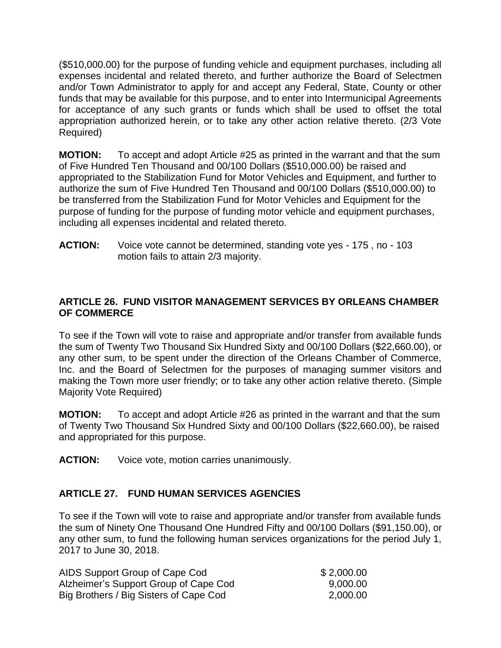(\$510,000.00) for the purpose of funding vehicle and equipment purchases, including all expenses incidental and related thereto, and further authorize the Board of Selectmen and/or Town Administrator to apply for and accept any Federal, State, County or other funds that may be available for this purpose, and to enter into Intermunicipal Agreements for acceptance of any such grants or funds which shall be used to offset the total appropriation authorized herein, or to take any other action relative thereto. (2/3 Vote Required)

**MOTION:** To accept and adopt Article #25 as printed in the warrant and that the sum of Five Hundred Ten Thousand and 00/100 Dollars (\$510,000.00) be raised and appropriated to the Stabilization Fund for Motor Vehicles and Equipment, and further to authorize the sum of Five Hundred Ten Thousand and 00/100 Dollars (\$510,000.00) to be transferred from the Stabilization Fund for Motor Vehicles and Equipment for the purpose of funding for the purpose of funding motor vehicle and equipment purchases, including all expenses incidental and related thereto.

**ACTION:** Voice vote cannot be determined, standing vote yes - 175 , no - 103 motion fails to attain 2/3 majority.

# **ARTICLE 26. FUND VISITOR MANAGEMENT SERVICES BY ORLEANS CHAMBER OF COMMERCE**

To see if the Town will vote to raise and appropriate and/or transfer from available funds the sum of Twenty Two Thousand Six Hundred Sixty and 00/100 Dollars (\$22,660.00), or any other sum, to be spent under the direction of the Orleans Chamber of Commerce, Inc. and the Board of Selectmen for the purposes of managing summer visitors and making the Town more user friendly; or to take any other action relative thereto. (Simple Majority Vote Required)

**MOTION:** To accept and adopt Article #26 as printed in the warrant and that the sum of Twenty Two Thousand Six Hundred Sixty and 00/100 Dollars (\$22,660.00), be raised and appropriated for this purpose.

**ACTION:** Voice vote, motion carries unanimously.

# **ARTICLE 27. FUND HUMAN SERVICES AGENCIES**

To see if the Town will vote to raise and appropriate and/or transfer from available funds the sum of Ninety One Thousand One Hundred Fifty and 00/100 Dollars (\$91,150.00), or any other sum, to fund the following human services organizations for the period July 1, 2017 to June 30, 2018.

| AIDS Support Group of Cape Cod         | \$2,000.00 |
|----------------------------------------|------------|
| Alzheimer's Support Group of Cape Cod  | 9,000.00   |
| Big Brothers / Big Sisters of Cape Cod | 2,000.00   |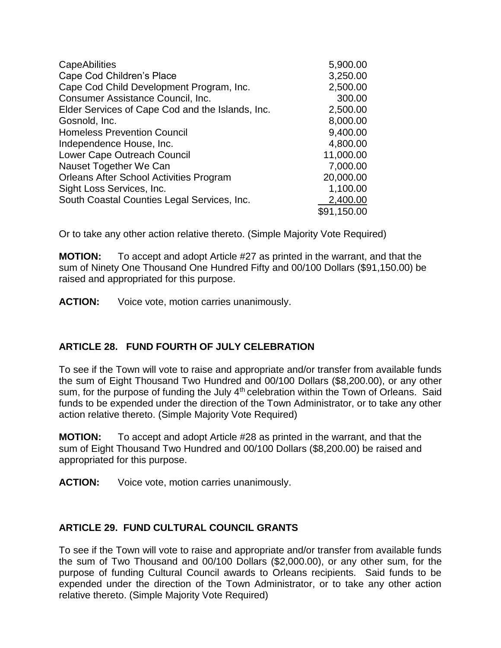| <b>CapeAbilities</b>                             | 5,900.00    |
|--------------------------------------------------|-------------|
| Cape Cod Children's Place                        | 3,250.00    |
| Cape Cod Child Development Program, Inc.         | 2,500.00    |
| Consumer Assistance Council, Inc.                | 300.00      |
| Elder Services of Cape Cod and the Islands, Inc. | 2,500.00    |
| Gosnold, Inc.                                    | 8,000.00    |
| <b>Homeless Prevention Council</b>               | 9,400.00    |
| Independence House, Inc.                         | 4,800.00    |
| Lower Cape Outreach Council                      | 11,000.00   |
| Nauset Together We Can                           | 7,000.00    |
| <b>Orleans After School Activities Program</b>   | 20,000.00   |
| Sight Loss Services, Inc.                        | 1,100.00    |
| South Coastal Counties Legal Services, Inc.      | 2,400.00    |
|                                                  | \$91,150.00 |

Or to take any other action relative thereto. (Simple Majority Vote Required)

**MOTION:** To accept and adopt Article #27 as printed in the warrant, and that the sum of Ninety One Thousand One Hundred Fifty and 00/100 Dollars (\$91,150.00) be raised and appropriated for this purpose.

**ACTION:** Voice vote, motion carries unanimously.

# **ARTICLE 28. FUND FOURTH OF JULY CELEBRATION**

To see if the Town will vote to raise and appropriate and/or transfer from available funds the sum of Eight Thousand Two Hundred and 00/100 Dollars (\$8,200.00), or any other sum, for the purpose of funding the July 4<sup>th</sup> celebration within the Town of Orleans. Said funds to be expended under the direction of the Town Administrator, or to take any other action relative thereto. (Simple Majority Vote Required)

**MOTION:** To accept and adopt Article #28 as printed in the warrant, and that the sum of Eight Thousand Two Hundred and 00/100 Dollars (\$8,200.00) be raised and appropriated for this purpose.

**ACTION:** Voice vote, motion carries unanimously.

# **ARTICLE 29. FUND CULTURAL COUNCIL GRANTS**

To see if the Town will vote to raise and appropriate and/or transfer from available funds the sum of Two Thousand and 00/100 Dollars (\$2,000.00), or any other sum, for the purpose of funding Cultural Council awards to Orleans recipients. Said funds to be expended under the direction of the Town Administrator, or to take any other action relative thereto. (Simple Majority Vote Required)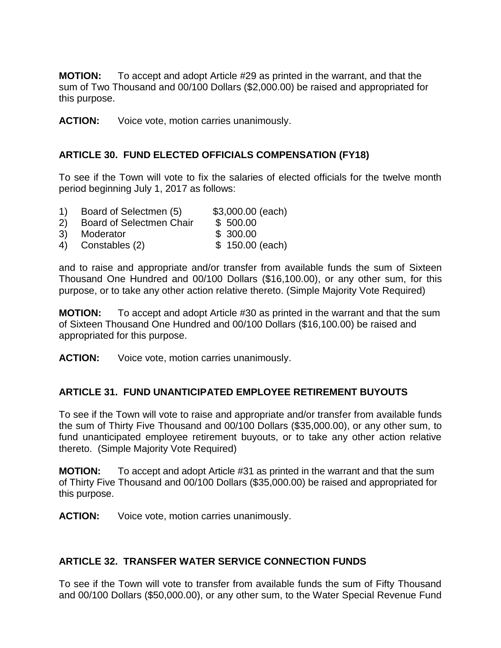**MOTION:** To accept and adopt Article #29 as printed in the warrant, and that the sum of Two Thousand and 00/100 Dollars (\$2,000.00) be raised and appropriated for this purpose.

**ACTION:** Voice vote, motion carries unanimously.

# **ARTICLE 30. FUND ELECTED OFFICIALS COMPENSATION (FY18)**

To see if the Town will vote to fix the salaries of elected officials for the twelve month period beginning July 1, 2017 as follows:

- 1) Board of Selectmen (5) \$3,000.00 (each)
- 2) Board of Selectmen Chair \$ 500.00
- 3) Moderator \$ 300.00
- 4) Constables (2) \$ 150.00 (each)

and to raise and appropriate and/or transfer from available funds the sum of Sixteen Thousand One Hundred and 00/100 Dollars (\$16,100.00), or any other sum, for this purpose, or to take any other action relative thereto. (Simple Majority Vote Required)

**MOTION:** To accept and adopt Article #30 as printed in the warrant and that the sum of Sixteen Thousand One Hundred and 00/100 Dollars (\$16,100.00) be raised and appropriated for this purpose.

**ACTION:** Voice vote, motion carries unanimously.

# **ARTICLE 31. FUND UNANTICIPATED EMPLOYEE RETIREMENT BUYOUTS**

To see if the Town will vote to raise and appropriate and/or transfer from available funds the sum of Thirty Five Thousand and 00/100 Dollars (\$35,000.00), or any other sum, to fund unanticipated employee retirement buyouts, or to take any other action relative thereto. (Simple Majority Vote Required)

**MOTION:** To accept and adopt Article #31 as printed in the warrant and that the sum of Thirty Five Thousand and 00/100 Dollars (\$35,000.00) be raised and appropriated for this purpose.

**ACTION:** Voice vote, motion carries unanimously.

# **ARTICLE 32. TRANSFER WATER SERVICE CONNECTION FUNDS**

To see if the Town will vote to transfer from available funds the sum of Fifty Thousand and 00/100 Dollars (\$50,000.00), or any other sum, to the Water Special Revenue Fund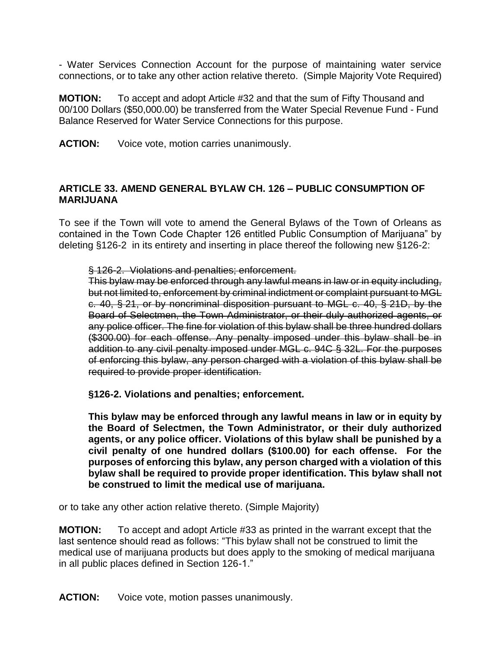- Water Services Connection Account for the purpose of maintaining water service connections, or to take any other action relative thereto. (Simple Majority Vote Required)

**MOTION:** To accept and adopt Article #32 and that the sum of Fifty Thousand and 00/100 Dollars (\$50,000.00) be transferred from the Water Special Revenue Fund - Fund Balance Reserved for Water Service Connections for this purpose.

**ACTION:** Voice vote, motion carries unanimously.

## **ARTICLE 33. AMEND GENERAL BYLAW CH. 126 – PUBLIC CONSUMPTION OF MARIJUANA**

To see if the Town will vote to amend the General Bylaws of the Town of Orleans as contained in the Town Code Chapter 126 entitled Public Consumption of Marijuana" by deleting §126-2 in its entirety and inserting in place thereof the following new §126-2:

§ [126-2. Violations and penalties; enforcement.](http://www.ecode360.com/14324804#14324806) 

This bylaw may be enforced through any lawful means in law or in equity including, but not limited to, enforcement by criminal indictment or complaint pursuant to MGL c. 40, § 21, or by noncriminal disposition pursuant to MGL c. 40, § 21D, by the Board of Selectmen, the Town Administrator, or their duly authorized agents, or any police officer. The fine for violation of this bylaw shall be three hundred dollars (\$300.00) for each offense. Any penalty imposed under this bylaw shall be in addition to any civil penalty imposed under MGL c. 94C § 32L. For the purposes of enforcing this bylaw, any person charged with a violation of this bylaw shall be required to provide proper identification.

**§126-2. Violations and penalties; enforcement.**

**This bylaw may be enforced through any lawful means in law or in equity by the Board of Selectmen, the Town Administrator, or their duly authorized agents, or any police officer. Violations of this bylaw shall be punished by a civil penalty of one hundred dollars (\$100.00) for each offense. For the purposes of enforcing this bylaw, any person charged with a violation of this bylaw shall be required to provide proper identification. This bylaw shall not be construed to limit the medical use of marijuana.**

or to take any other action relative thereto. (Simple Majority)

**MOTION:** To accept and adopt Article #33 as printed in the warrant except that the last sentence should read as follows: "This bylaw shall not be construed to limit the medical use of marijuana products but does apply to the smoking of medical marijuana in all public places defined in Section 126-1."

**ACTION:** Voice vote, motion passes unanimously.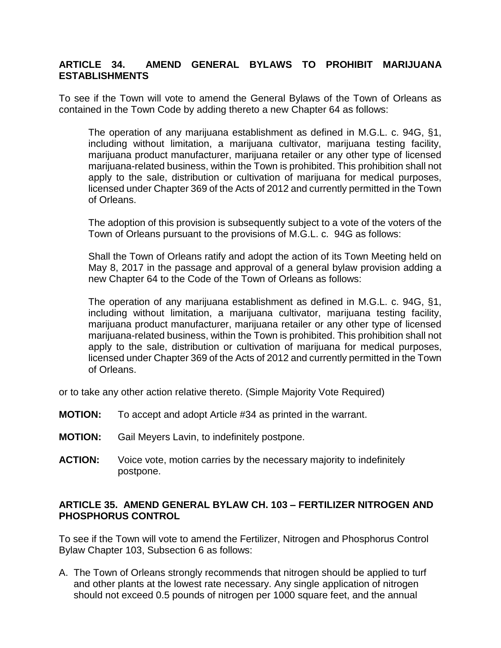# **ARTICLE 34. AMEND GENERAL BYLAWS TO PROHIBIT MARIJUANA ESTABLISHMENTS**

To see if the Town will vote to amend the General Bylaws of the Town of Orleans as contained in the Town Code by adding thereto a new Chapter 64 as follows:

The operation of any marijuana establishment as defined in M.G.L. c. 94G, §1, including without limitation, a marijuana cultivator, marijuana testing facility, marijuana product manufacturer, marijuana retailer or any other type of licensed marijuana-related business, within the Town is prohibited. This prohibition shall not apply to the sale, distribution or cultivation of marijuana for medical purposes, licensed under Chapter 369 of the Acts of 2012 and currently permitted in the Town of Orleans.

The adoption of this provision is subsequently subject to a vote of the voters of the Town of Orleans pursuant to the provisions of M.G.L. c. 94G as follows:

Shall the Town of Orleans ratify and adopt the action of its Town Meeting held on May 8, 2017 in the passage and approval of a general bylaw provision adding a new Chapter 64 to the Code of the Town of Orleans as follows:

The operation of any marijuana establishment as defined in M.G.L. c. 94G, §1, including without limitation, a marijuana cultivator, marijuana testing facility, marijuana product manufacturer, marijuana retailer or any other type of licensed marijuana-related business, within the Town is prohibited. This prohibition shall not apply to the sale, distribution or cultivation of marijuana for medical purposes, licensed under Chapter 369 of the Acts of 2012 and currently permitted in the Town of Orleans.

or to take any other action relative thereto. (Simple Majority Vote Required)

- **MOTION:** To accept and adopt Article #34 as printed in the warrant.
- **MOTION:** Gail Meyers Lavin, to indefinitely postpone.
- **ACTION:** Voice vote, motion carries by the necessary majority to indefinitely postpone.

#### **ARTICLE 35. AMEND GENERAL BYLAW CH. 103 – FERTILIZER NITROGEN AND PHOSPHORUS CONTROL**

To see if the Town will vote to amend the Fertilizer, Nitrogen and Phosphorus Control Bylaw Chapter 103, Subsection 6 as follows:

A. The Town of Orleans strongly recommends that nitrogen should be applied to turf and other plants at the lowest rate necessary. Any single application of nitrogen should not exceed 0.5 pounds of nitrogen per 1000 square feet, and the annual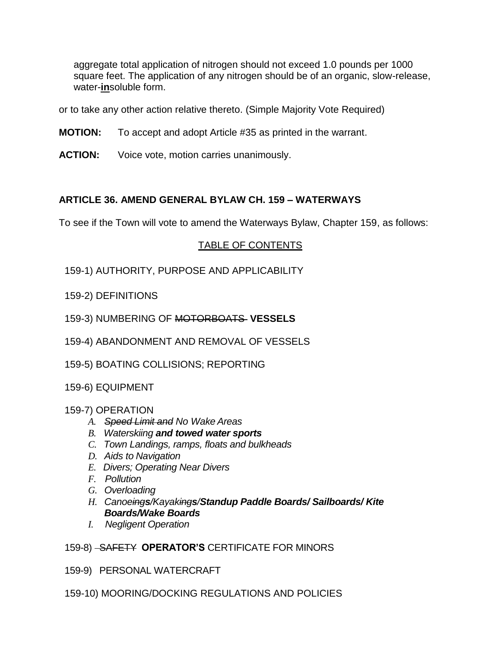aggregate total application of nitrogen should not exceed 1.0 pounds per 1000 square feet. The application of any nitrogen should be of an organic, slow-release, water-**in**soluble form.

or to take any other action relative thereto. (Simple Majority Vote Required)

- **MOTION:** To accept and adopt Article #35 as printed in the warrant.
- **ACTION:** Voice vote, motion carries unanimously.

# **ARTICLE 36. AMEND GENERAL BYLAW CH. 159 – WATERWAYS**

To see if the Town will vote to amend the Waterways Bylaw, Chapter 159, as follows:

## TABLE OF CONTENTS

- 159-1) AUTHORITY, PURPOSE AND APPLICABILITY
- 159-2) DEFINITIONS
- 159-3) NUMBERING OF MOTORBOATS **VESSELS**
- 159-4) ABANDONMENT AND REMOVAL OF VESSELS
- 159-5) BOATING COLLISIONS; REPORTING
- 159-6) EQUIPMENT

#### 159-7) OPERATION

- *A. Speed Limit and No Wake Areas*
- *B. Waterskiing and towed water sports*
- *C. Town Landings, ramps, floats and bulkheads*
- *D. Aids to Navigation*
- *E. Divers; Operating Near Divers*
- *F. Pollution*
- *G. Overloading*
- *H. Canoeings/Kayakings/Standup Paddle Boards/ Sailboards/ Kite Boards/Wake Boards*
- *I. Negligent Operation*

#### 159-8) SAFETY **OPERATOR'S** CERTIFICATE FOR MINORS

- 159-9) PERSONAL WATERCRAFT
- 159-10) MOORING/DOCKING REGULATIONS AND POLICIES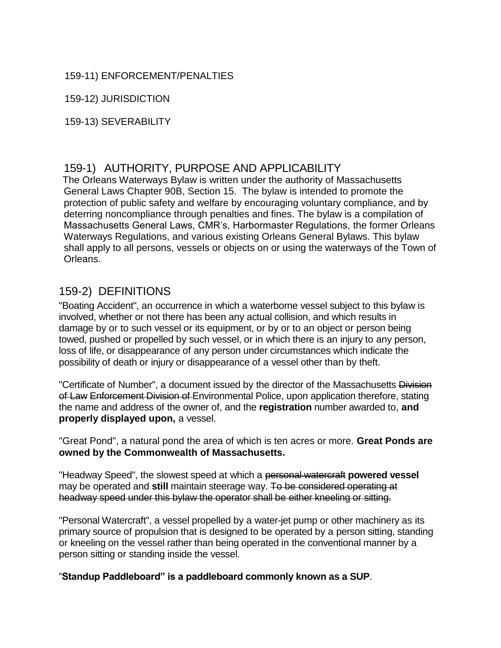# 159-11) ENFORCEMENT/PENALTIES

159-12) JURISDICTION

159-13) SEVERABILITY

# 159-1) AUTHORITY, PURPOSE AND APPLICABILITY

The Orleans Waterways Bylaw is written under the authority of Massachusetts General Laws Chapter 90B, Section 15. The bylaw is intended to promote the protection of public safety and welfare by encouraging voluntary compliance, and by deterring noncompliance through penalties and fines. The bylaw is a compilation of Massachusetts General Laws, CMR's, Harbormaster Regulations, the former Orleans Waterways Regulations, and various existing Orleans General Bylaws. This bylaw shall apply to all persons, vessels or objects on or using the waterways of the Town of Orleans.

# 159-2) DEFINITIONS

"Boating Accident", an occurrence in which a waterborne vessel subject to this bylaw is involved, whether or not there has been any actual collision, and which results in damage by or to such vessel or its equipment, or by or to an object or person being towed, pushed or propelled by such vessel, or in which there is an injury to any person, loss of life, or disappearance of any person under circumstances which indicate the possibility of death or injury or disappearance of a vessel other than by theft.

"Certificate of Number", a document issued by the director of the Massachusetts Division of Law Enforcement Division of Environmental Police, upon application therefore, stating the name and address of the owner of, and the **registration** number awarded to, **and properly displayed upon,** a vessel.

"Great Pond", a natural pond the area of which is ten acres or more. **Great Ponds are owned by the Commonwealth of Massachusetts.**

"Headway Speed", the slowest speed at which a personal watercraft **powered vessel**  may be operated and **still** maintain steerage way. To be considered operating at headway speed under this bylaw the operator shall be either kneeling or sitting.

"Personal Watercraft", a vessel propelled by a water-jet pump or other machinery as its primary source of propulsion that is designed to be operated by a person sitting, standing or kneeling on the vessel rather than being operated in the conventional manner by a person sitting or standing inside the vessel.

"**Standup Paddleboard" is a paddleboard commonly known as a SUP**.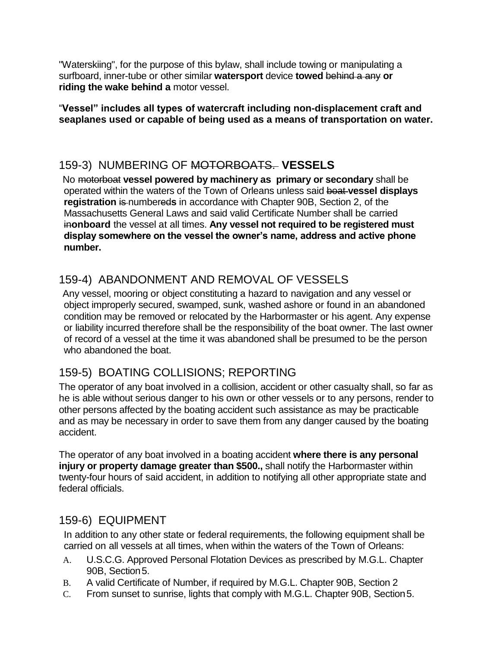"Waterskiing", for the purpose of this bylaw, shall include towing or manipulating a surfboard, inner-tube or other similar **watersport** device **towed** behind a any **or riding the wake behind a** motor vessel.

"**Vessel" includes all types of watercraft including non-displacement craft and seaplanes used or capable of being used as a means of transportation on water.**

# 159-3) NUMBERING OF MOTORBOATS. **VESSELS**

No motorboat **vessel powered by machinery as primary or secondary** shall be operated within the waters of the Town of Orleans unless said boat **vessel displays registration is numbereds** in accordance with Chapter 90B, Section 2, of the Massachusetts General Laws and said valid Certificate Number shall be carried in**onboard** the vessel at all times. **Any vessel not required to be registered must display somewhere on the vessel the owner's name, address and active phone number.**

# 159-4) ABANDONMENT AND REMOVAL OF VESSELS

Any vessel, mooring or object constituting a hazard to navigation and any vessel or object improperly secured, swamped, sunk, washed ashore or found in an abandoned condition may be removed or relocated by the Harbormaster or his agent. Any expense or liability incurred therefore shall be the responsibility of the boat owner. The last owner of record of a vessel at the time it was abandoned shall be presumed to be the person who abandoned the boat.

# 159-5) BOATING COLLISIONS; REPORTING

The operator of any boat involved in a collision, accident or other casualty shall, so far as he is able without serious danger to his own or other vessels or to any persons, render to other persons affected by the boating accident such assistance as may be practicable and as may be necessary in order to save them from any danger caused by the boating accident.

The operator of any boat involved in a boating accident **where there is any personal injury or property damage greater than \$500.,** shall notify the Harbormaster within twenty-four hours of said accident, in addition to notifying all other appropriate state and federal officials.

# 159-6) EQUIPMENT

In addition to any other state or federal requirements, the following equipment shall be carried on all vessels at all times, when within the waters of the Town of Orleans:

- A. U.S.C.G. Approved Personal Flotation Devices as prescribed by M.G.L. Chapter 90B, Section 5.
- B. A valid Certificate of Number, if required by M.G.L. Chapter 90B, Section 2
- C. From sunset to sunrise, lights that comply with M.G.L. Chapter 90B, Section5.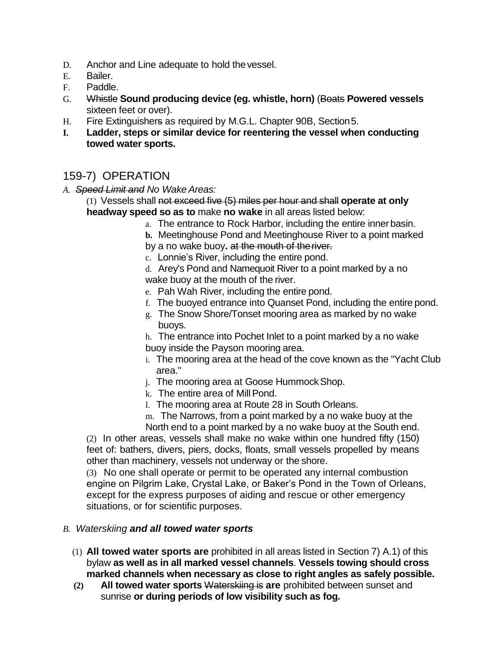- D. Anchor and Line adequate to hold thevessel.
- E. Bailer.
- F. Paddle.
- G. Whistle **Sound producing device (eg. whistle, horn)** (Boats **Powered vessels**  sixteen feet or over).
- H. Fire Extinguishers as required by M.G.L. Chapter 90B, Section5.
- **I. Ladder, steps or similar device for reentering the vessel when conducting towed water sports.**

# 159-7) OPERATION

- *A. Speed Limit and No Wake Areas:*
	- (1) Vessels shall not exceed five (5) miles per hour and shall **operate at only headway speed so as to** make **no wake** in all areas listed below:
		- a. The entrance to Rock Harbor, including the entire innerbasin.
		- **b.** Meetinghouse Pond and Meetinghouse River to a point marked
		- by a no wake buoy**.** at the mouth of theriver.
		- c. Lonnie's River, including the entire pond.
		- d. Arey's Pond and Namequoit River to a point marked by a no wake buoy at the mouth of the river.
		- e. Pah Wah River, including the entire pond.
		- f. The buoyed entrance into Quanset Pond, including the entire pond.
		- g. The Snow Shore/Tonset mooring area as marked by no wake buoys.

h. The entrance into Pochet Inlet to a point marked by a no wake buoy inside the Payson mooring area.

- i. The mooring area at the head of the cove known as the "Yacht Club area."
- j. The mooring area at Goose Hummock Shop.
- k. The entire area of Mill Pond.
- l. The mooring area at Route 28 in South Orleans.

m. The Narrows, from a point marked by a no wake buoy at the North end to a point marked by a no wake buoy at the South end.

(2) In other areas, vessels shall make no wake within one hundred fifty (150) feet of: bathers, divers, piers, docks, floats, small vessels propelled by means other than machinery, vessels not underway or the shore.

(3) No one shall operate or permit to be operated any internal combustion engine on Pilgrim Lake, Crystal Lake, or Baker's Pond in the Town of Orleans, except for the express purposes of aiding and rescue or other emergency situations, or for scientific purposes.

#### *B. Waterskiing and all towed water sports*

- (1) **All towed water sports are** prohibited in all areas listed in Section 7) A.1) of this bylaw **as well as in all marked vessel channels**. **Vessels towing should cross marked channels when necessary as close to right angles as safely possible.**
- **(2) All towed water sports** Waterskiing is **are** prohibited between sunset and sunrise **or during periods of low visibility such as fog.**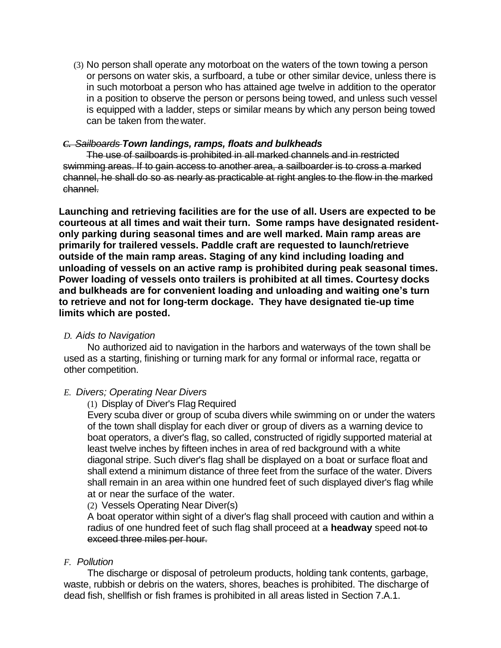(3) No person shall operate any motorboat on the waters of the town towing a person or persons on water skis, a surfboard, a tube or other similar device, unless there is in such motorboat a person who has attained age twelve in addition to the operator in a position to observe the person or persons being towed, and unless such vessel is equipped with a ladder, steps or similar means by which any person being towed can be taken from thewater.

#### *C. Sailboards Town landings, ramps, floats and bulkheads*

The use of sailboards is prohibited in all marked channels and in restricted swimming areas. If to gain access to another area, a sailboarder is to cross a marked channel, he shall do so as nearly as practicable at right angles to the flow in the marked channel.

**Launching and retrieving facilities are for the use of all. Users are expected to be courteous at all times and wait their turn. Some ramps have designated residentonly parking during seasonal times and are well marked. Main ramp areas are primarily for trailered vessels. Paddle craft are requested to launch/retrieve outside of the main ramp areas. Staging of any kind including loading and unloading of vessels on an active ramp is prohibited during peak seasonal times. Power loading of vessels onto trailers is prohibited at all times. Courtesy docks and bulkheads are for convenient loading and unloading and waiting one's turn to retrieve and not for long-term dockage. They have designated tie-up time limits which are posted.**

#### *D. Aids to Navigation*

No authorized aid to navigation in the harbors and waterways of the town shall be used as a starting, finishing or turning mark for any formal or informal race, regatta or other competition.

#### *E. Divers; Operating Near Divers*

#### (1) Display of Diver's Flag Required

Every scuba diver or group of scuba divers while swimming on or under the waters of the town shall display for each diver or group of divers as a warning device to boat operators, a diver's flag, so called, constructed of rigidly supported material at least twelve inches by fifteen inches in area of red background with a white diagonal stripe. Such diver's flag shall be displayed on a boat or surface float and shall extend a minimum distance of three feet from the surface of the water. Divers shall remain in an area within one hundred feet of such displayed diver's flag while at or near the surface of the water.

#### (2) Vessels Operating Near Diver(s)

A boat operator within sight of a diver's flag shall proceed with caution and within a radius of one hundred feet of such flag shall proceed at a **headway** speed not to exceed three miles per hour.

#### *F. Pollution*

The discharge or disposal of petroleum products, holding tank contents, garbage, waste, rubbish or debris on the waters, shores, beaches is prohibited. The discharge of dead fish, shellfish or fish frames is prohibited in all areas listed in Section 7.A.1.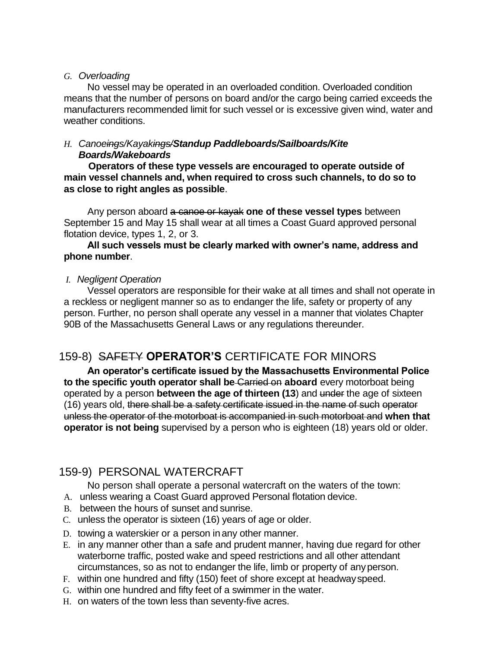#### *G. Overloading*

No vessel may be operated in an overloaded condition. Overloaded condition means that the number of persons on board and/or the cargo being carried exceeds the manufacturers recommended limit for such vessel or is excessive given wind, water and weather conditions.

#### *H. Canoeings/Kayakings/Standup Paddleboards/Sailboards/Kite Boards/Wakeboards*

**Operators of these type vessels are encouraged to operate outside of main vessel channels and, when required to cross such channels, to do so to as close to right angles as possible**.

Any person aboard a canoe or kayak **one of these vessel types** between September 15 and May 15 shall wear at all times a Coast Guard approved personal flotation device, types 1, 2, or 3.

#### **All such vessels must be clearly marked with owner's name, address and phone number**.

## *I. Negligent Operation*

Vessel operators are responsible for their wake at all times and shall not operate in a reckless or negligent manner so as to endanger the life, safety or property of any person. Further, no person shall operate any vessel in a manner that violates Chapter 90B of the Massachusetts General Laws or any regulations thereunder.

# 159-8) SAFETY **OPERATOR'S** CERTIFICATE FOR MINORS

**An operator's certificate issued by the Massachusetts Environmental Police to the specific youth operator shall be** Carried on **aboard** every motorboat being operated by a person **between the age of thirteen (13**) and under the age of sixteen (16) years old, there shall be a safety certificate issued in the name of such operator unless the operator of the motorboat is accompanied in such motorboat and **when that operator is not being** supervised by a person who is eighteen (18) years old or older.

# 159-9) PERSONAL WATERCRAFT

No person shall operate a personal watercraft on the waters of the town:

A. unless wearing a Coast Guard approved Personal flotation device.

- B. between the hours of sunset and sunrise.
- C. unless the operator is sixteen (16) years of age or older.
- D. towing a waterskier or a person in any other manner.
- E. in any manner other than a safe and prudent manner, having due regard for other waterborne traffic, posted wake and speed restrictions and all other attendant circumstances, so as not to endanger the life, limb or property of anyperson.
- F. within one hundred and fifty (150) feet of shore except at headwayspeed.
- G. within one hundred and fifty feet of a swimmer in the water.
- H. on waters of the town less than seventy-five acres.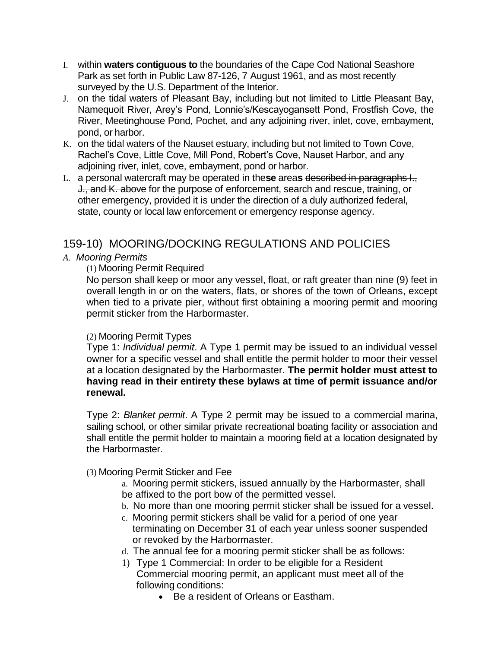- I. within **waters contiguous to** the boundaries of the Cape Cod National Seashore Park as set forth in Public Law 87-126, 7 August 1961, and as most recently surveyed by the U.S. Department of the Interior.
- J. on the tidal waters of Pleasant Bay, including but not limited to Little Pleasant Bay, Namequoit River, Arey's Pond, Lonnie's/Kescayogansett Pond, Frostfish Cove, the River, Meetinghouse Pond, Pochet, and any adjoining river, inlet, cove, embayment, pond, or harbor.
- K. on the tidal waters of the Nauset estuary, including but not limited to Town Cove, Rachel's Cove, Little Cove, Mill Pond, Robert's Cove, Nauset Harbor, and any adjoining river, inlet, cove, embayment, pond or harbor.
- L. a personal watercraft may be operated in the**se** area**s** described in paragraphs I., J., and K. above for the purpose of enforcement, search and rescue, training, or other emergency, provided it is under the direction of a duly authorized federal, state, county or local law enforcement or emergency response agency.

# 159-10) MOORING/DOCKING REGULATIONS AND POLICIES

## *A. Mooring Permits*

#### (1) Mooring Permit Required

No person shall keep or moor any vessel, float, or raft greater than nine (9) feet in overall length in or on the waters, flats, or shores of the town of Orleans, except when tied to a private pier, without first obtaining a mooring permit and mooring permit sticker from the Harbormaster.

#### (2) Mooring Permit Types

Type 1: *Individual permit*. A Type 1 permit may be issued to an individual vessel owner for a specific vessel and shall entitle the permit holder to moor their vessel at a location designated by the Harbormaster. **The permit holder must attest to having read in their entirety these bylaws at time of permit issuance and/or renewal.**

Type 2: *Blanket permit*. A Type 2 permit may be issued to a commercial marina, sailing school, or other similar private recreational boating facility or association and shall entitle the permit holder to maintain a mooring field at a location designated by the Harbormaster.

#### (3) Mooring Permit Sticker and Fee

a. Mooring permit stickers, issued annually by the Harbormaster, shall be affixed to the port bow of the permitted vessel.

- b. No more than one mooring permit sticker shall be issued for a vessel.
- c. Mooring permit stickers shall be valid for a period of one year terminating on December 31 of each year unless sooner suspended or revoked by the Harbormaster.
- d. The annual fee for a mooring permit sticker shall be as follows:
- 1) Type 1 Commercial: In order to be eligible for a Resident Commercial mooring permit, an applicant must meet all of the following conditions:
	- Be a resident of Orleans or Eastham.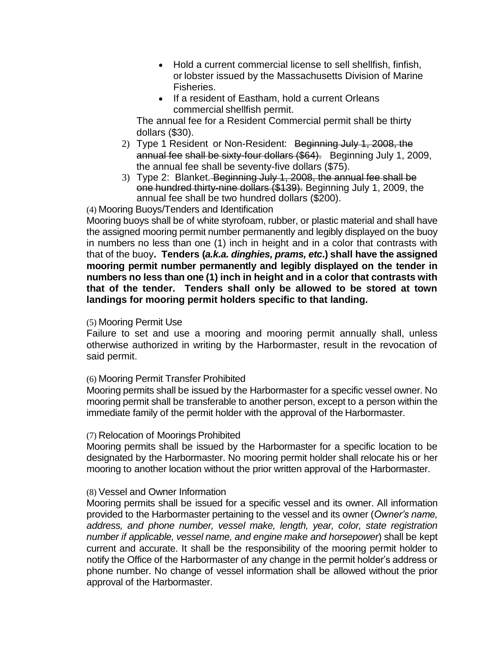- Hold a current commercial license to sell shellfish, finfish, or lobster issued by the Massachusetts Division of Marine Fisheries.
- If a resident of Eastham, hold a current Orleans commercial shellfish permit.

The annual fee for a Resident Commercial permit shall be thirty dollars (\$30).

- 2) Type 1 Resident or Non-Resident: Beginning July 1, 2008, the annual fee shall be sixty-four dollars (\$64). Beginning July 1, 2009, the annual fee shall be seventy-five dollars (\$75).
- 3) Type 2: Blanket. Beginning July 1, 2008, the annual fee shall be one hundred thirty-nine dollars (\$139). Beginning July 1, 2009, the annual fee shall be two hundred dollars (\$200).

(4) Mooring Buoys/Tenders and Identification

Mooring buoys shall be of white styrofoam, rubber, or plastic material and shall have the assigned mooring permit number permanently and legibly displayed on the buoy in numbers no less than one (1) inch in height and in a color that contrasts with that of the buoy**. Tenders (***a.k.a. dinghies, prams, etc***.) shall have the assigned mooring permit number permanently and legibly displayed on the tender in numbers no less than one (1) inch in height and in a color that contrasts with that of the tender. Tenders shall only be allowed to be stored at town landings for mooring permit holders specific to that landing.**

#### (5) Mooring Permit Use

Failure to set and use a mooring and mooring permit annually shall, unless otherwise authorized in writing by the Harbormaster, result in the revocation of said permit.

#### (6) Mooring Permit Transfer Prohibited

Mooring permits shall be issued by the Harbormaster for a specific vessel owner. No mooring permit shall be transferable to another person, except to a person within the immediate family of the permit holder with the approval of the Harbormaster.

#### (7) Relocation of Moorings Prohibited

Mooring permits shall be issued by the Harbormaster for a specific location to be designated by the Harbormaster. No mooring permit holder shall relocate his or her mooring to another location without the prior written approval of the Harbormaster.

#### (8) Vessel and Owner Information

Mooring permits shall be issued for a specific vessel and its owner. All information provided to the Harbormaster pertaining to the vessel and its owner (*Owner's name, address, and phone number, vessel make, length, year, color, state registration number if applicable, vessel name, and engine make and horsepower*) shall be kept current and accurate. It shall be the responsibility of the mooring permit holder to notify the Office of the Harbormaster of any change in the permit holder's address or phone number. No change of vessel information shall be allowed without the prior approval of the Harbormaster.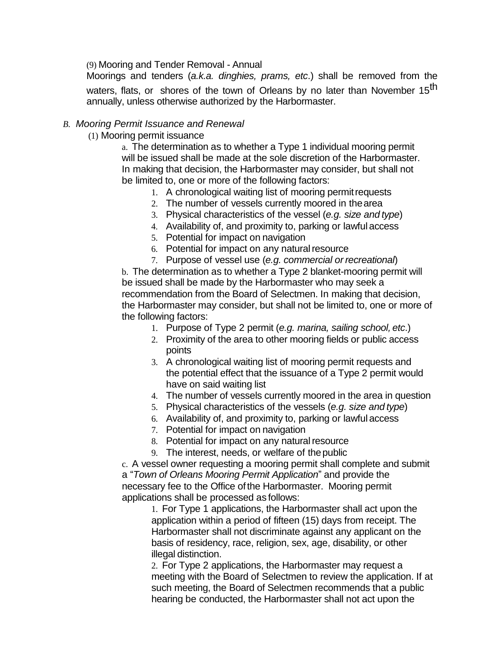(9) Mooring and Tender Removal - Annual

Moorings and tenders (*a.k.a. dinghies, prams, etc*.) shall be removed from the waters, flats, or shores of the town of Orleans by no later than November 15<sup>th</sup> annually, unless otherwise authorized by the Harbormaster.

#### *B. Mooring Permit Issuance and Renewal*

(1) Mooring permit issuance

a. The determination as to whether a Type 1 individual mooring permit will be issued shall be made at the sole discretion of the Harbormaster. In making that decision, the Harbormaster may consider, but shall not be limited to, one or more of the following factors:

- 1. A chronological waiting list of mooring permit requests
- 2. The number of vessels currently moored in thearea
- 3. Physical characteristics of the vessel (*e.g. size and type*)
- 4. Availability of, and proximity to, parking or lawful access
- 5. Potential for impact on navigation
- 6. Potential for impact on any natural resource
- 7. Purpose of vessel use (*e.g. commercial or recreational*)

b. The determination as to whether a Type 2 blanket-mooring permit will be issued shall be made by the Harbormaster who may seek a recommendation from the Board of Selectmen. In making that decision, the Harbormaster may consider, but shall not be limited to, one or more of the following factors:

- 1. Purpose of Type 2 permit (*e.g. marina, sailing school, etc*.)
- 2. Proximity of the area to other mooring fields or public access points
- 3. A chronological waiting list of mooring permit requests and the potential effect that the issuance of a Type 2 permit would have on said waiting list
- 4. The number of vessels currently moored in the area in question
- 5. Physical characteristics of the vessels (*e.g. size and type*)
- 6. Availability of, and proximity to, parking or lawful access
- 7. Potential for impact on navigation
- 8. Potential for impact on any natural resource
- 9. The interest, needs, or welfare of thepublic

c. A vessel owner requesting a mooring permit shall complete and submit a "*Town of Orleans Mooring Permit Application*" and provide the necessary fee to the Office of the Harbormaster. Mooring permit applications shall be processed as follows:

1. For Type 1 applications, the Harbormaster shall act upon the application within a period of fifteen (15) days from receipt. The Harbormaster shall not discriminate against any applicant on the basis of residency, race, religion, sex, age, disability, or other illegal distinction.

2. For Type 2 applications, the Harbormaster may request a meeting with the Board of Selectmen to review the application. If at such meeting, the Board of Selectmen recommends that a public hearing be conducted, the Harbormaster shall not act upon the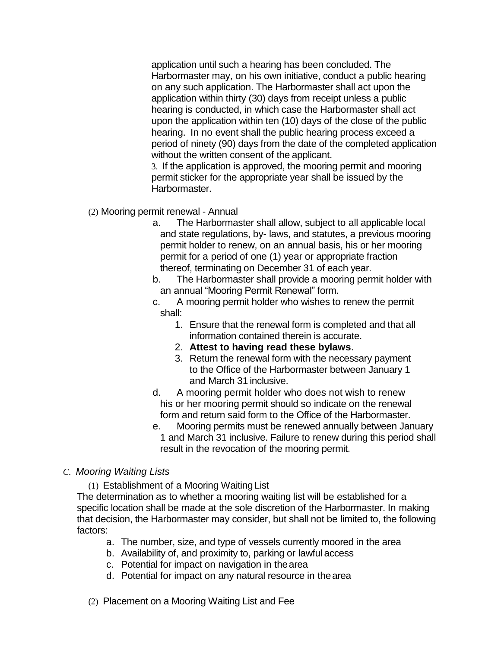application until such a hearing has been concluded. The Harbormaster may, on his own initiative, conduct a public hearing on any such application. The Harbormaster shall act upon the application within thirty (30) days from receipt unless a public hearing is conducted, in which case the Harbormaster shall act upon the application within ten (10) days of the close of the public hearing. In no event shall the public hearing process exceed a period of ninety (90) days from the date of the completed application without the written consent of the applicant.

3. If the application is approved, the mooring permit and mooring permit sticker for the appropriate year shall be issued by the Harbormaster.

- (2) Mooring permit renewal Annual
	- a. The Harbormaster shall allow, subject to all applicable local and state regulations, by- laws, and statutes, a previous mooring permit holder to renew, on an annual basis, his or her mooring permit for a period of one (1) year or appropriate fraction thereof, terminating on December 31 of each year.
	- b. The Harbormaster shall provide a mooring permit holder with an annual "Mooring Permit Renewal" form.
	- c. A mooring permit holder who wishes to renew the permit shall:
		- 1. Ensure that the renewal form is completed and that all information contained therein is accurate.
		- 2. **Attest to having read these bylaws**.
		- 3. Return the renewal form with the necessary payment to the Office of the Harbormaster between January 1 and March 31 inclusive.
	- d. A mooring permit holder who does not wish to renew his or her mooring permit should so indicate on the renewal form and return said form to the Office of the Harbormaster.
	- e. Mooring permits must be renewed annually between January 1 and March 31 inclusive. Failure to renew during this period shall result in the revocation of the mooring permit.
- *C. Mooring Waiting Lists*
	- (1) Establishment of a Mooring Waiting List

The determination as to whether a mooring waiting list will be established for a specific location shall be made at the sole discretion of the Harbormaster. In making that decision, the Harbormaster may consider, but shall not be limited to, the following factors:

- a. The number, size, and type of vessels currently moored in the area
- b. Availability of, and proximity to, parking or lawful access
- c. Potential for impact on navigation in thearea
- d. Potential for impact on any natural resource in thearea
- (2) Placement on a Mooring Waiting List and Fee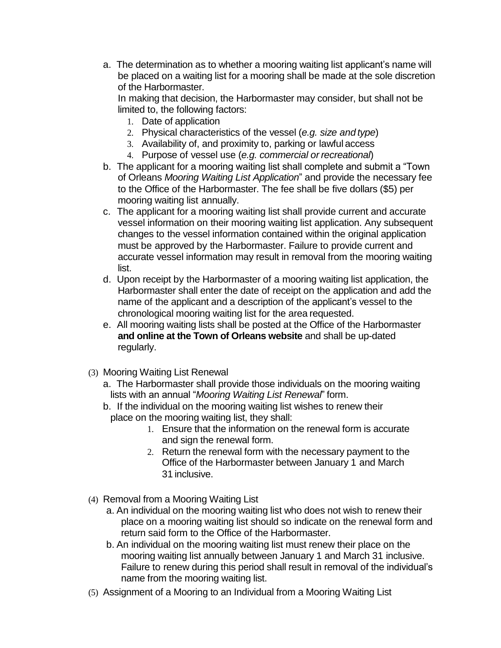a. The determination as to whether a mooring waiting list applicant's name will be placed on a waiting list for a mooring shall be made at the sole discretion of the Harbormaster.

In making that decision, the Harbormaster may consider, but shall not be limited to, the following factors:

- 1. Date of application
- 2. Physical characteristics of the vessel (*e.g. size and type*)
- 3. Availability of, and proximity to, parking or lawful access
- 4. Purpose of vessel use (*e.g. commercial or recreational*)
- b. The applicant for a mooring waiting list shall complete and submit a "Town of Orleans *Mooring Waiting List Application*" and provide the necessary fee to the Office of the Harbormaster. The fee shall be five dollars (\$5) per mooring waiting list annually.
- c. The applicant for a mooring waiting list shall provide current and accurate vessel information on their mooring waiting list application. Any subsequent changes to the vessel information contained within the original application must be approved by the Harbormaster. Failure to provide current and accurate vessel information may result in removal from the mooring waiting list.
- d. Upon receipt by the Harbormaster of a mooring waiting list application, the Harbormaster shall enter the date of receipt on the application and add the name of the applicant and a description of the applicant's vessel to the chronological mooring waiting list for the area requested.
- e. All mooring waiting lists shall be posted at the Office of the Harbormaster **and online at the Town of Orleans website** and shall be up-dated regularly.
- (3) Mooring Waiting List Renewal
	- a. The Harbormaster shall provide those individuals on the mooring waiting lists with an annual "*Mooring Waiting List Renewal*" form.
	- b. If the individual on the mooring waiting list wishes to renew their place on the mooring waiting list, they shall:
		- 1. Ensure that the information on the renewal form is accurate and sign the renewal form.
		- 2. Return the renewal form with the necessary payment to the Office of the Harbormaster between January 1 and March 31 inclusive.
- (4) Removal from a Mooring Waiting List
	- a. An individual on the mooring waiting list who does not wish to renew their place on a mooring waiting list should so indicate on the renewal form and return said form to the Office of the Harbormaster.
	- b. An individual on the mooring waiting list must renew their place on the mooring waiting list annually between January 1 and March 31 inclusive. Failure to renew during this period shall result in removal of the individual's name from the mooring waiting list.
- (5) Assignment of a Mooring to an Individual from a Mooring Waiting List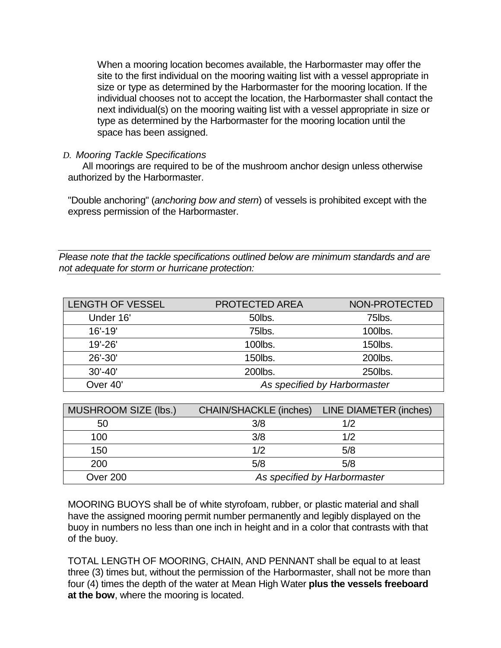When a mooring location becomes available, the Harbormaster may offer the site to the first individual on the mooring waiting list with a vessel appropriate in size or type as determined by the Harbormaster for the mooring location. If the individual chooses not to accept the location, the Harbormaster shall contact the next individual(s) on the mooring waiting list with a vessel appropriate in size or type as determined by the Harbormaster for the mooring location until the space has been assigned.

## *D. Mooring Tackle Specifications*

All moorings are required to be of the mushroom anchor design unless otherwise authorized by the Harbormaster.

"Double anchoring" (*anchoring bow and stern*) of vessels is prohibited except with the express permission of the Harbormaster.

*Please note that the tackle specifications outlined below are minimum standards and are not adequate for storm or hurricane protection:*

| <b>LENGTH OF VESSEL</b> | <b>PROTECTED AREA</b>        | NON-PROTECTED |
|-------------------------|------------------------------|---------------|
| Under 16'               | 50lbs.                       | 75lbs.        |
| $16' - 19'$             | 75lbs.                       | 100lbs.       |
| $19' - 26'$             | 100lbs.                      | 150lbs.       |
| $26' - 30'$             | 150lbs.                      | 200lbs.       |
| $30' - 40'$             | 200lbs.                      | 250lbs.       |
| Over 40'                | As specified by Harbormaster |               |

| <b>MUSHROOM SIZE (lbs.)</b> | <b>CHAIN/SHACKLE (inches)</b> | <b>LINE DIAMETER (inches)</b> |
|-----------------------------|-------------------------------|-------------------------------|
| 50                          | 3/8                           | 1/2                           |
| 100                         | 3/8                           | 1/2                           |
| 150                         | 1/2                           | 5/8                           |
| 200                         | 5/8                           | 5/8                           |
| Over 200                    |                               | As specified by Harbormaster  |

MOORING BUOYS shall be of white styrofoam, rubber, or plastic material and shall have the assigned mooring permit number permanently and legibly displayed on the buoy in numbers no less than one inch in height and in a color that contrasts with that of the buoy.

TOTAL LENGTH OF MOORING, CHAIN, AND PENNANT shall be equal to at least three (3) times but, without the permission of the Harbormaster, shall not be more than four (4) times the depth of the water at Mean High Water **plus the vessels freeboard at the bow**, where the mooring is located.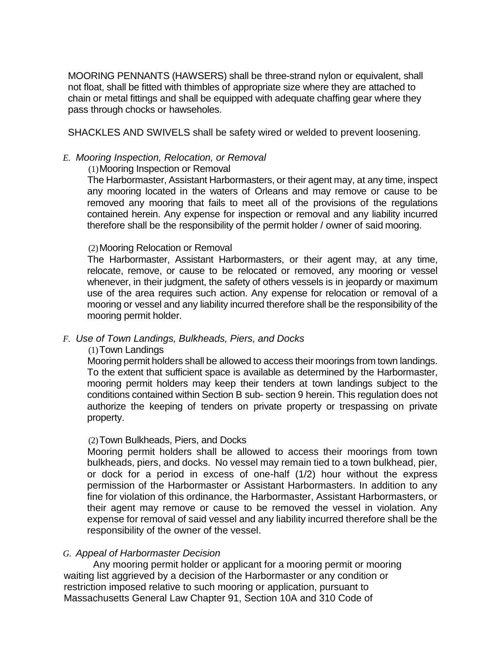MOORING PENNANTS (HAWSERS) shall be three-strand nylon or equivalent, shall not float, shall be fitted with thimbles of appropriate size where they are attached to chain or metal fittings and shall be equipped with adequate chaffing gear where they pass through chocks or hawseholes.

SHACKLES AND SWIVELS shall be safety wired or welded to prevent loosening.

#### *E. Mooring Inspection, Relocation, or Removal*

#### (1)Mooring Inspection or Removal

The Harbormaster, Assistant Harbormasters, or their agent may, at any time, inspect any mooring located in the waters of Orleans and may remove or cause to be removed any mooring that fails to meet all of the provisions of the regulations contained herein. Any expense for inspection or removal and any liability incurred therefore shall be the responsibility of the permit holder / owner of said mooring.

#### (2)Mooring Relocation or Removal

The Harbormaster, Assistant Harbormasters, or their agent may, at any time, relocate, remove, or cause to be relocated or removed, any mooring or vessel whenever, in their judgment, the safety of others vessels is in jeopardy or maximum use of the area requires such action. Any expense for relocation or removal of a mooring or vessel and any liability incurred therefore shall be the responsibility of the mooring permit holder.

#### *F. Use of Town Landings, Bulkheads, Piers, and Docks*

#### (1)Town Landings

Mooring permit holders shall be allowed to access their moorings from town landings. To the extent that sufficient space is available as determined by the Harbormaster, mooring permit holders may keep their tenders at town landings subject to the conditions contained within Section B sub- section 9 herein. This regulation does not authorize the keeping of tenders on private property or trespassing on private property.

#### (2)Town Bulkheads, Piers, and Docks

Mooring permit holders shall be allowed to access their moorings from town bulkheads, piers, and docks. No vessel may remain tied to a town bulkhead, pier, or dock for a period in excess of one-half (1/2) hour without the express permission of the Harbormaster or Assistant Harbormasters. In addition to any fine for violation of this ordinance, the Harbormaster, Assistant Harbormasters, or their agent may remove or cause to be removed the vessel in violation. Any expense for removal of said vessel and any liability incurred therefore shall be the responsibility of the owner of the vessel.

#### *G. Appeal of Harbormaster Decision*

Any mooring permit holder or applicant for a mooring permit or mooring waiting list aggrieved by a decision of the Harbormaster or any condition or restriction imposed relative to such mooring or application, pursuant to Massachusetts General Law Chapter 91, Section 10A and 310 Code of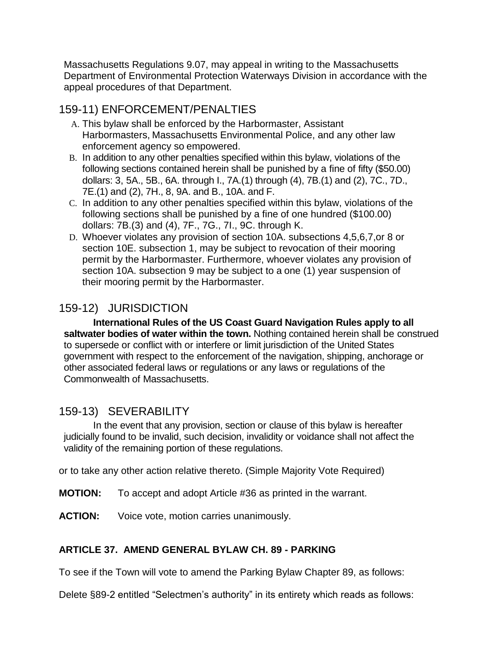Massachusetts Regulations 9.07, may appeal in writing to the Massachusetts Department of Environmental Protection Waterways Division in accordance with the appeal procedures of that Department.

# 159-11) ENFORCEMENT/PENALTIES

- A. This bylaw shall be enforced by the Harbormaster, Assistant Harbormasters, Massachusetts Environmental Police, and any other law enforcement agency so empowered.
- B. In addition to any other penalties specified within this bylaw, violations of the following sections contained herein shall be punished by a fine of fifty (\$50.00) dollars: 3, 5A., 5B., 6A. through I., 7A.(1) through (4), 7B.(1) and (2), 7C., 7D., 7E.(1) and (2), 7H., 8, 9A. and B., 10A. and F.
- C. In addition to any other penalties specified within this bylaw, violations of the following sections shall be punished by a fine of one hundred (\$100.00) dollars: 7B.(3) and (4), 7F., 7G., 7I., 9C. through K.
- D. Whoever violates any provision of section 10A. subsections 4,5,6,7,or 8 or section 10E. subsection 1, may be subject to revocation of their mooring permit by the Harbormaster. Furthermore, whoever violates any provision of section 10A. subsection 9 may be subject to a one (1) year suspension of their mooring permit by the Harbormaster.

# 159-12) JURISDICTION

**International Rules of the US Coast Guard Navigation Rules apply to all saltwater bodies of water within the town.** Nothing contained herein shall be construed to supersede or conflict with or interfere or limit jurisdiction of the United States government with respect to the enforcement of the navigation, shipping, anchorage or other associated federal laws or regulations or any laws or regulations of the Commonwealth of Massachusetts.

# 159-13) SEVERABILITY

In the event that any provision, section or clause of this bylaw is hereafter judicially found to be invalid, such decision, invalidity or voidance shall not affect the validity of the remaining portion of these regulations.

or to take any other action relative thereto. (Simple Majority Vote Required)

- **MOTION:** To accept and adopt Article #36 as printed in the warrant.
- **ACTION:** Voice vote, motion carries unanimously.

# **ARTICLE 37. AMEND GENERAL BYLAW CH. 89 - PARKING**

To see if the Town will vote to amend the Parking Bylaw Chapter 89, as follows:

Delete §89-2 entitled "Selectmen's authority" in its entirety which reads as follows: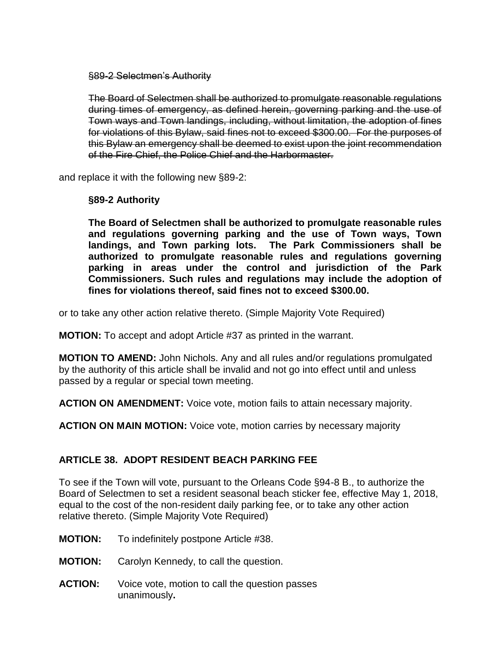#### §89-2 Selectmen's Authority

The Board of Selectmen shall be authorized to promulgate reasonable regulations during times of emergency, as defined herein, governing parking and the use of Town ways and Town landings, including, without limitation, the adoption of fines for violations of this Bylaw, said fines not to exceed \$300.00. For the purposes of this Bylaw an emergency shall be deemed to exist upon the joint recommendation of the Fire Chief, the Police Chief and the Harbormaster.

and replace it with the following new §89-2:

#### **§89-2 Authority**

**The Board of Selectmen shall be authorized to promulgate reasonable rules and regulations governing parking and the use of Town ways, Town landings, and Town parking lots. The Park Commissioners shall be authorized to promulgate reasonable rules and regulations governing parking in areas under the control and jurisdiction of the Park Commissioners. Such rules and regulations may include the adoption of fines for violations thereof, said fines not to exceed \$300.00.**

or to take any other action relative thereto. (Simple Majority Vote Required)

**MOTION:** To accept and adopt Article #37 as printed in the warrant.

**MOTION TO AMEND:** John Nichols. Any and all rules and/or regulations promulgated by the authority of this article shall be invalid and not go into effect until and unless passed by a regular or special town meeting.

**ACTION ON AMENDMENT:** Voice vote, motion fails to attain necessary majority.

**ACTION ON MAIN MOTION:** Voice vote, motion carries by necessary majority

#### **ARTICLE 38. ADOPT RESIDENT BEACH PARKING FEE**

To see if the Town will vote, pursuant to the Orleans Code §94-8 B., to authorize the Board of Selectmen to set a resident seasonal beach sticker fee, effective May 1, 2018, equal to the cost of the non-resident daily parking fee, or to take any other action relative thereto. (Simple Majority Vote Required)

- **MOTION:** To indefinitely postpone Article #38.
- **MOTION:** Carolyn Kennedy, to call the question.
- **ACTION:** Voice vote, motion to call the question passes unanimously**.**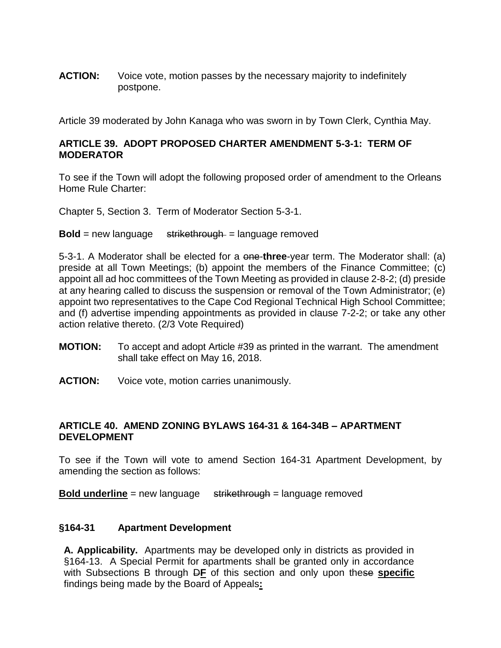**ACTION:** Voice vote, motion passes by the necessary majority to indefinitely postpone.

Article 39 moderated by John Kanaga who was sworn in by Town Clerk, Cynthia May.

#### **ARTICLE 39. ADOPT PROPOSED CHARTER AMENDMENT 5-3-1: TERM OF MODERATOR**

To see if the Town will adopt the following proposed order of amendment to the Orleans Home Rule Charter:

Chapter 5, Section 3. Term of Moderator Section 5-3-1.

**Bold** = new language strikethrough = language removed

5-3-1. A Moderator shall be elected for a one-**three**-year term. The Moderator shall: (a) preside at all Town Meetings; (b) appoint the members of the Finance Committee; (c) appoint all ad hoc committees of the Town Meeting as provided in clause 2-8-2; (d) preside at any hearing called to discuss the suspension or removal of the Town Administrator; (e) appoint two representatives to the Cape Cod Regional Technical High School Committee; and (f) advertise impending appointments as provided in clause 7-2-2; or take any other action relative thereto. (2/3 Vote Required)

- **MOTION:** To accept and adopt Article #39 as printed in the warrant. The amendment shall take effect on May 16, 2018.
- **ACTION:** Voice vote, motion carries unanimously.

#### **ARTICLE 40. AMEND ZONING BYLAWS 164-31 & 164-34B – APARTMENT DEVELOPMENT**

To see if the Town will vote to amend Section 164-31 Apartment Development, by amending the section as follows:

**Bold underline** = new language strikethrough = language removed

#### **§164-31 Apartment Development**

**A. Applicability.** Apartments may be developed only in districts as provided in §164-13. A Special Permit for apartments shall be granted only in accordance with Subsections B through D**F** of this section and only upon these **specific**  findings being made by the Board of Appeals**:**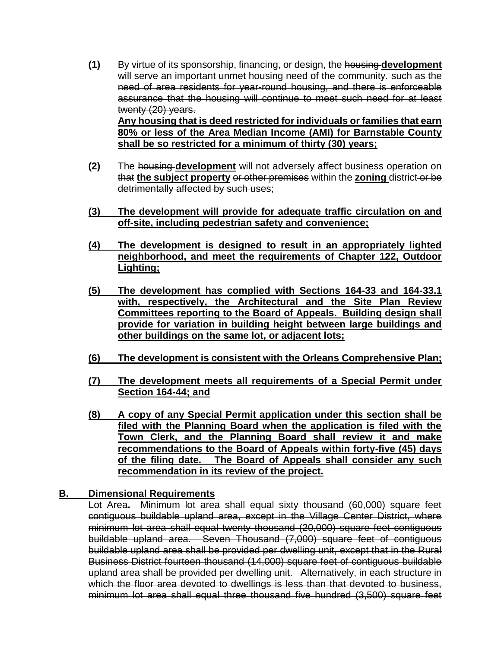**(1)** By virtue of its sponsorship, financing, or design, the housing **development** will serve an important unmet housing need of the community. such as the need of area residents for year-round housing, and there is enforceable assurance that the housing will continue to meet such need for at least twenty (20) years. **Any housing that is deed restricted for individuals or families that earn** 

**80% or less of the Area Median Income (AMI) for Barnstable County shall be so restricted for a minimum of thirty (30) years;**

- **(2)** The housing **development** will not adversely affect business operation on that **the subject property** or other premises within the **zoning** district or be detrimentally affected by such uses;
- **(3) The development will provide for adequate traffic circulation on and off-site, including pedestrian safety and convenience;**
- **(4) The development is designed to result in an appropriately lighted neighborhood, and meet the requirements of Chapter 122, Outdoor Lighting;**
- **(5) The development has complied with Sections 164-33 and 164-33.1 with, respectively, the Architectural and the Site Plan Review Committees reporting to the Board of Appeals. Building design shall provide for variation in building height between large buildings and other buildings on the same lot, or adjacent lots;**
- **(6) The development is consistent with the Orleans Comprehensive Plan;**
- **(7) The development meets all requirements of a Special Permit under Section 164-44; and**
- **(8) A copy of any Special Permit application under this section shall be filed with the Planning Board when the application is filed with the Town Clerk, and the Planning Board shall review it and make recommendations to the Board of Appeals within forty-five (45) days of the filing date. The Board of Appeals shall consider any such recommendation in its review of the project.**

#### **B. Dimensional Requirements**

Lot Area**.** Minimum lot area shall equal sixty thousand (60,000) square feet contiguous buildable upland area, except in the Village Center District, where minimum lot area shall equal twenty thousand (20,000) square feet contiguous buildable upland area. Seven Thousand (7,000) square feet of contiguous buildable upland area shall be provided per dwelling unit, except that in the Rural Business District fourteen thousand (14,000) square feet of contiguous buildable upland area shall be provided per dwelling unit. Alternatively, in each structure in which the floor area devoted to dwellings is less than that devoted to business, minimum lot area shall equal three thousand five hundred (3,500) square feet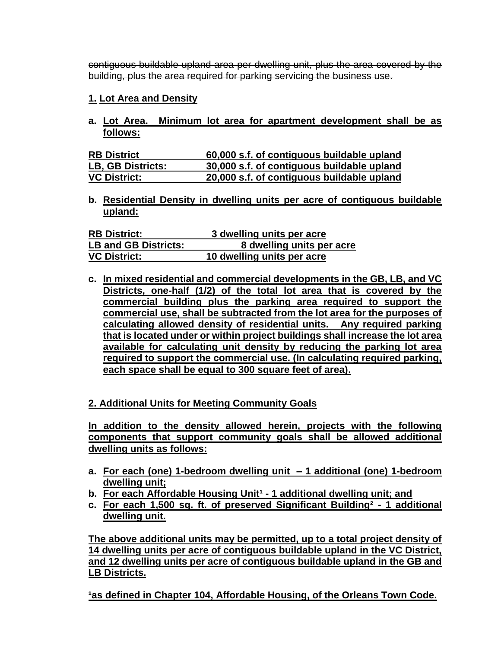contiguous buildable upland area per dwelling unit, plus the area covered by the building, plus the area required for parking servicing the business use.

## **1. Lot Area and Density**

**a. Lot Area. Minimum lot area for apartment development shall be as follows:**

| <b>RB District</b>       | 60,000 s.f. of contiguous buildable upland |
|--------------------------|--------------------------------------------|
| <b>LB, GB Districts:</b> | 30,000 s.f. of contiguous buildable upland |
| <b>VC District:</b>      | 20,000 s.f. of contiguous buildable upland |

**b. Residential Density in dwelling units per acre of contiguous buildable upland:** 

| <b>RB District:</b>         | 3 dwelling units per acre  |
|-----------------------------|----------------------------|
| <b>LB and GB Districts:</b> | 8 dwelling units per acre  |
| <b>VC District:</b>         | 10 dwelling units per acre |

**c. In mixed residential and commercial developments in the GB, LB, and VC Districts, one-half (1/2) of the total lot area that is covered by the commercial building plus the parking area required to support the commercial use, shall be subtracted from the lot area for the purposes of calculating allowed density of residential units. Any required parking that is located under or within project buildings shall increase the lot area available for calculating unit density by reducing the parking lot area required to support the commercial use. (In calculating required parking, each space shall be equal to 300 square feet of area).**

# **2. Additional Units for Meeting Community Goals**

**In addition to the density allowed herein, projects with the following components that support community goals shall be allowed additional dwelling units as follows:**

- **a. For each (one) 1-bedroom dwelling unit – 1 additional (one) 1-bedroom dwelling unit;**
- **b.** For each Affordable Housing Unit<sup>1</sup> 1 additional dwelling unit; and
- **c. For each 1,500 sq. ft. of preserved Significant Building² - 1 additional dwelling unit.**

**The above additional units may be permitted, up to a total project density of 14 dwelling units per acre of contiguous buildable upland in the VC District, and 12 dwelling units per acre of contiguous buildable upland in the GB and LB Districts.**

<sup>1</sup>as defined in Chapter 104, Affordable Housing, of the Orleans Town Code.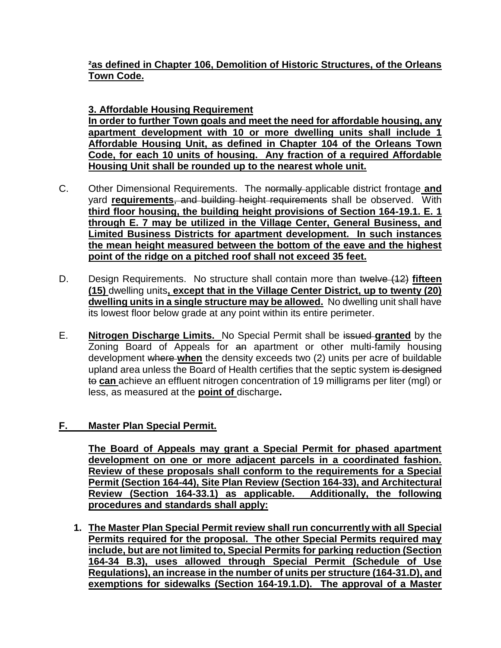# **²as defined in Chapter 106, Demolition of Historic Structures, of the Orleans Town Code.**

**3. Affordable Housing Requirement In order to further Town goals and meet the need for affordable housing, any apartment development with 10 or more dwelling units shall include 1 Affordable Housing Unit, as defined in Chapter 104 of the Orleans Town Code, for each 10 units of housing. Any fraction of a required Affordable Housing Unit shall be rounded up to the nearest whole unit.**

- C. Other Dimensional Requirements. The normally applicable district frontage **and** yard **requirements**, and building height requirements shall be observed. With **third floor housing, the building height provisions of Section 164-19.1. E. 1 through E. 7 may be utilized in the Village Center, General Business, and Limited Business Districts for apartment development. In such instances the mean height measured between the bottom of the eave and the highest point of the ridge on a pitched roof shall not exceed 35 feet.**
- D. Design Requirements.No structure shall contain more than twelve (12) **fifteen (15)** dwelling units**, except that in the Village Center District, up to twenty (20) dwelling units in a single structure may be allowed.** No dwelling unit shall have its lowest floor below grade at any point within its entire perimeter.
- E. **Nitrogen Discharge Limits.** No Special Permit shall be issued **granted** by the Zoning Board of Appeals for an apartment or other multi-family housing development where **when** the density exceeds two (2) units per acre of buildable upland area unless the Board of Health certifies that the septic system is designed to can achieve an effluent nitrogen concentration of 19 milligrams per liter (mgl) or less, as measured at the **point of** discharge**.**

# **F. Master Plan Special Permit.**

**The Board of Appeals may grant a Special Permit for phased apartment development on one or more adjacent parcels in a coordinated fashion. Review of these proposals shall conform to the requirements for a Special Permit (Section 164-44), Site Plan Review (Section 164-33), and Architectural Review (Section 164-33.1) as applicable. Additionally, the following procedures and standards shall apply:**

**1. The Master Plan Special Permit review shall run concurrently with all Special Permits required for the proposal. The other Special Permits required may include, but are not limited to, Special Permits for parking reduction (Section 164-34 B.3), uses allowed through Special Permit (Schedule of Use Regulations), an increase in the number of units per structure (164-31.D), and exemptions for sidewalks (Section 164-19.1.D). The approval of a Master**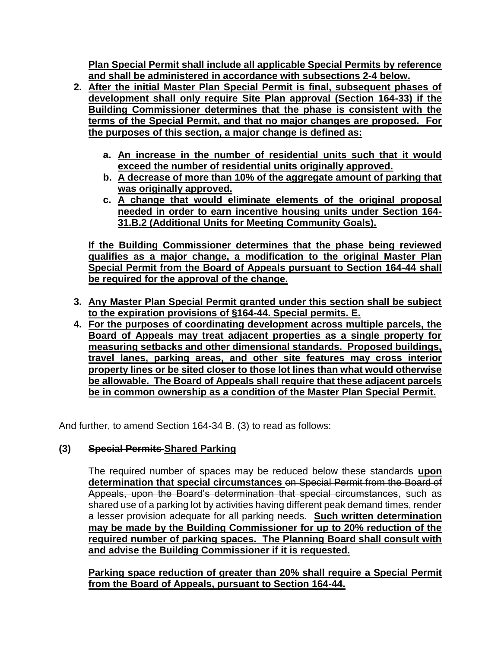**Plan Special Permit shall include all applicable Special Permits by reference and shall be administered in accordance with subsections 2-4 below.**

- **2. After the initial Master Plan Special Permit is final, subsequent phases of development shall only require Site Plan approval (Section 164-33) if the Building Commissioner determines that the phase is consistent with the terms of the Special Permit, and that no major changes are proposed. For the purposes of this section, a major change is defined as:**
	- **a. An increase in the number of residential units such that it would exceed the number of residential units originally approved.**
	- **b. A decrease of more than 10% of the aggregate amount of parking that was originally approved.**
	- **c. A change that would eliminate elements of the original proposal needed in order to earn incentive housing units under Section 164- 31.B.2 (Additional Units for Meeting Community Goals).**

**If the Building Commissioner determines that the phase being reviewed qualifies as a major change, a modification to the original Master Plan Special Permit from the Board of Appeals pursuant to Section 164-44 shall be required for the approval of the change.**

- **3. Any Master Plan Special Permit granted under this section shall be subject to the expiration provisions of §164-44. Special permits. E.**
- **4. For the purposes of coordinating development across multiple parcels, the Board of Appeals may treat adjacent properties as a single property for measuring setbacks and other dimensional standards. Proposed buildings, travel lanes, parking areas, and other site features may cross interior property lines or be sited closer to those lot lines than what would otherwise be allowable. The Board of Appeals shall require that these adjacent parcels be in common ownership as a condition of the Master Plan Special Permit.**

And further, to amend Section 164-34 B. (3) to read as follows:

# **(3) Special Permits Shared Parking**

The required number of spaces may be reduced below these standards **upon determination that special circumstances** on Special Permit from the Board of Appeals, upon the Board's determination that special circumstances, such as shared use of a parking lot by activities having different peak demand times, render a lesser provision adequate for all parking needs. **Such written determination may be made by the Building Commissioner for up to 20% reduction of the required number of parking spaces. The Planning Board shall consult with and advise the Building Commissioner if it is requested.** 

**Parking space reduction of greater than 20% shall require a Special Permit from the Board of Appeals, pursuant to Section 164-44.**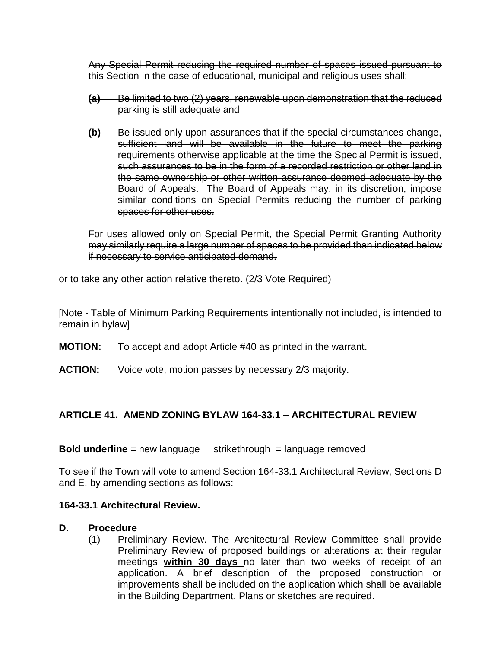Any Special Permit reducing the required number of spaces issued pursuant to this Section in the case of educational, municipal and religious uses shall:

- **(a)** Be limited to two (2) years, renewable upon demonstration that the reduced parking is still adequate and
- **(b)** Be issued only upon assurances that if the special circumstances change, sufficient land will be available in the future to meet the parking requirements otherwise applicable at the time the Special Permit is issued, such assurances to be in the form of a recorded restriction or other land in the same ownership or other written assurance deemed adequate by the Board of Appeals. The Board of Appeals may, in its discretion, impose similar conditions on Special Permits reducing the number of parking spaces for other uses.

For uses allowed only on Special Permit, the Special Permit Granting Authority may similarly require a large number of spaces to be provided than indicated below if necessary to service anticipated demand.

or to take any other action relative thereto. (2/3 Vote Required)

[Note - Table of Minimum Parking Requirements intentionally not included, is intended to remain in bylaw]

- **MOTION:** To accept and adopt Article #40 as printed in the warrant.
- **ACTION:** Voice vote, motion passes by necessary 2/3 majority.

# **ARTICLE 41. AMEND ZONING BYLAW 164-33.1 – ARCHITECTURAL REVIEW**

#### **Bold underline** = new language strikethrough = language removed

To see if the Town will vote to amend Section 164-33.1 Architectural Review, Sections D and E, by amending sections as follows:

#### **164-33.1 Architectural Review.**

#### **D. Procedure**

(1) Preliminary Review. The Architectural Review Committee shall provide Preliminary Review of proposed buildings or alterations at their regular meetings **within 30 days** no later than two weeks of receipt of an application. A brief description of the proposed construction or improvements shall be included on the application which shall be available in the Building Department. Plans or sketches are required.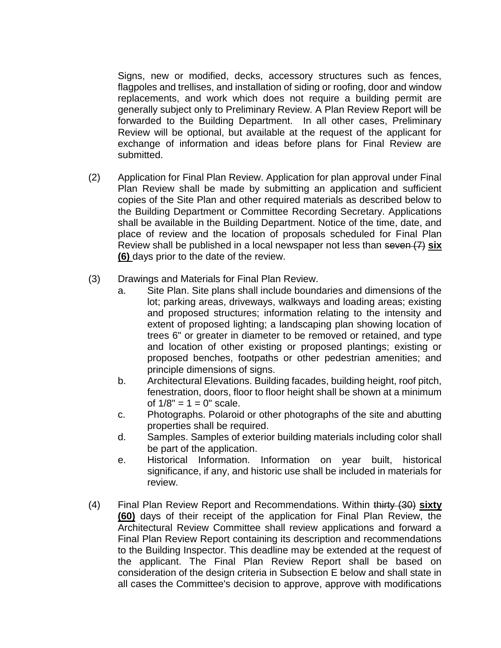Signs, new or modified, decks, accessory structures such as fences, flagpoles and trellises, and installation of siding or roofing, door and window replacements, and work which does not require a building permit are generally subject only to Preliminary Review. A Plan Review Report will be forwarded to the Building Department. In all other cases, Preliminary Review will be optional, but available at the request of the applicant for exchange of information and ideas before plans for Final Review are submitted.

- (2) Application for Final Plan Review. Application for plan approval under Final Plan Review shall be made by submitting an application and sufficient copies of the Site Plan and other required materials as described below to the Building Department or Committee Recording Secretary. Applications shall be available in the Building Department. Notice of the time, date, and place of review and the location of proposals scheduled for Final Plan Review shall be published in a local newspaper not less than seven (7) **six (6)** days prior to the date of the review.
- (3) Drawings and Materials for Final Plan Review.
	- a. Site Plan. Site plans shall include boundaries and dimensions of the lot; parking areas, driveways, walkways and loading areas; existing and proposed structures; information relating to the intensity and extent of proposed lighting; a landscaping plan showing location of trees 6" or greater in diameter to be removed or retained, and type and location of other existing or proposed plantings; existing or proposed benches, footpaths or other pedestrian amenities; and principle dimensions of signs.
	- b. Architectural Elevations. Building facades, building height, roof pitch, fenestration, doors, floor to floor height shall be shown at a minimum of  $1/8$ " =  $1 = 0$ " scale.
	- c. Photographs. Polaroid or other photographs of the site and abutting properties shall be required.
	- d. Samples. Samples of exterior building materials including color shall be part of the application.
	- e. Historical Information. Information on year built, historical significance, if any, and historic use shall be included in materials for review.
- (4) Final Plan Review Report and Recommendations. Within thirty (30) **sixty (60)** days of their receipt of the application for Final Plan Review, the Architectural Review Committee shall review applications and forward a Final Plan Review Report containing its description and recommendations to the Building Inspector. This deadline may be extended at the request of the applicant. The Final Plan Review Report shall be based on consideration of the design criteria in Subsection E below and shall state in all cases the Committee's decision to approve, approve with modifications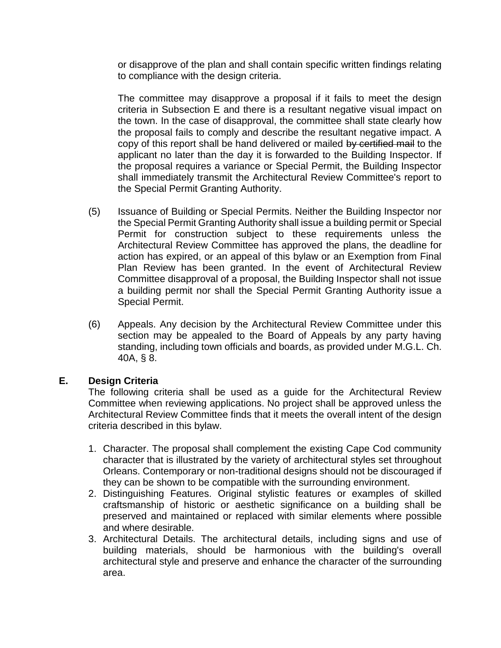or disapprove of the plan and shall contain specific written findings relating to compliance with the design criteria.

The committee may disapprove a proposal if it fails to meet the design criteria in Subsection E and there is a resultant negative visual impact on the town. In the case of disapproval, the committee shall state clearly how the proposal fails to comply and describe the resultant negative impact. A copy of this report shall be hand delivered or mailed by certified mail to the applicant no later than the day it is forwarded to the Building Inspector. If the proposal requires a variance or Special Permit, the Building Inspector shall immediately transmit the Architectural Review Committee's report to the Special Permit Granting Authority.

- (5) Issuance of Building or Special Permits. Neither the Building Inspector nor the Special Permit Granting Authority shall issue a building permit or Special Permit for construction subject to these requirements unless the Architectural Review Committee has approved the plans, the deadline for action has expired, or an appeal of this bylaw or an Exemption from Final Plan Review has been granted. In the event of Architectural Review Committee disapproval of a proposal, the Building Inspector shall not issue a building permit nor shall the Special Permit Granting Authority issue a Special Permit.
- (6) Appeals. Any decision by the Architectural Review Committee under this section may be appealed to the Board of Appeals by any party having standing, including town officials and boards, as provided under M.G.L. Ch. 40A, § 8.

#### **E. Design Criteria**

The following criteria shall be used as a guide for the Architectural Review Committee when reviewing applications. No project shall be approved unless the Architectural Review Committee finds that it meets the overall intent of the design criteria described in this bylaw.

- 1. Character. The proposal shall complement the existing Cape Cod community character that is illustrated by the variety of architectural styles set throughout Orleans. Contemporary or non-traditional designs should not be discouraged if they can be shown to be compatible with the surrounding environment.
- 2. Distinguishing Features. Original stylistic features or examples of skilled craftsmanship of historic or aesthetic significance on a building shall be preserved and maintained or replaced with similar elements where possible and where desirable.
- 3. Architectural Details. The architectural details, including signs and use of building materials, should be harmonious with the building's overall architectural style and preserve and enhance the character of the surrounding area.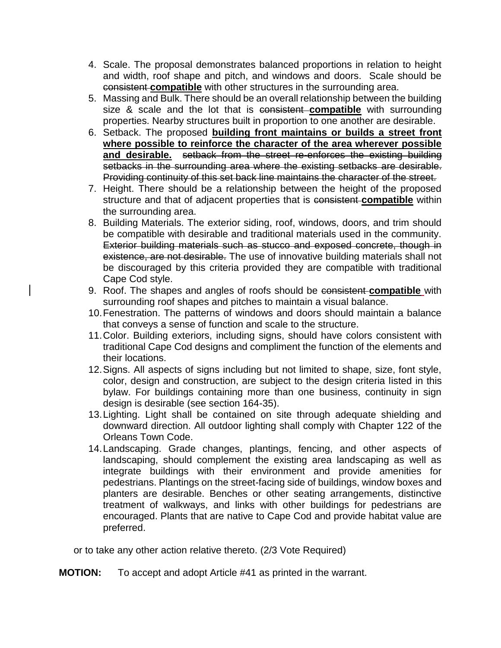- 4. Scale. The proposal demonstrates balanced proportions in relation to height and width, roof shape and pitch, and windows and doors. Scale should be consistent **compatible** with other structures in the surrounding area.
- 5. Massing and Bulk. There should be an overall relationship between the building size & scale and the lot that is consistent **compatible** with surrounding properties. Nearby structures built in proportion to one another are desirable.
- 6. Setback. The proposed **building front maintains or builds a street front where possible to reinforce the character of the area wherever possible and desirable.** setback from the street re-enforces the existing building setbacks in the surrounding area where the existing setbacks are desirable. Providing continuity of this set back line maintains the character of the street.
- 7. Height. There should be a relationship between the height of the proposed structure and that of adjacent properties that is consistent **compatible** within the surrounding area.
- 8. Building Materials. The exterior siding, roof, windows, doors, and trim should be compatible with desirable and traditional materials used in the community. Exterior building materials such as stucco and exposed concrete, though in existence, are not desirable. The use of innovative building materials shall not be discouraged by this criteria provided they are compatible with traditional Cape Cod style.
- 9. Roof. The shapes and angles of roofs should be consistent **compatible** with surrounding roof shapes and pitches to maintain a visual balance.
- 10.Fenestration. The patterns of windows and doors should maintain a balance that conveys a sense of function and scale to the structure.
- 11.Color. Building exteriors, including signs, should have colors consistent with traditional Cape Cod designs and compliment the function of the elements and their locations.
- 12.Signs. All aspects of signs including but not limited to shape, size, font style, color, design and construction, are subject to the design criteria listed in this bylaw. For buildings containing more than one business, continuity in sign design is desirable (see section 164-35).
- 13.Lighting. Light shall be contained on site through adequate shielding and downward direction. All outdoor lighting shall comply with Chapter 122 of the Orleans Town Code.
- 14.Landscaping. Grade changes, plantings, fencing, and other aspects of landscaping, should complement the existing area landscaping as well as integrate buildings with their environment and provide amenities for pedestrians. Plantings on the street-facing side of buildings, window boxes and planters are desirable. Benches or other seating arrangements, distinctive treatment of walkways, and links with other buildings for pedestrians are encouraged. Plants that are native to Cape Cod and provide habitat value are preferred.

or to take any other action relative thereto. (2/3 Vote Required)

**MOTION:** To accept and adopt Article #41 as printed in the warrant.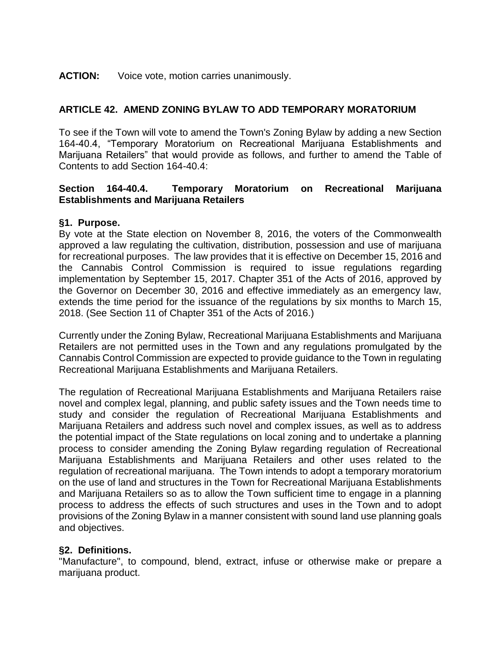#### **ACTION:** Voice vote, motion carries unanimously.

# **ARTICLE 42. AMEND ZONING BYLAW TO ADD TEMPORARY MORATORIUM**

To see if the Town will vote to amend the Town's Zoning Bylaw by adding a new Section 164-40.4, "Temporary Moratorium on Recreational Marijuana Establishments and Marijuana Retailers" that would provide as follows, and further to amend the Table of Contents to add Section 164-40.4:

## **Section 164-40.4. Temporary Moratorium on Recreational Marijuana Establishments and Marijuana Retailers**

#### **§1. Purpose.**

By vote at the State election on November 8, 2016, the voters of the Commonwealth approved a law regulating the cultivation, distribution, possession and use of marijuana for recreational purposes. The law provides that it is effective on December 15, 2016 and the Cannabis Control Commission is required to issue regulations regarding implementation by September 15, 2017. Chapter 351 of the Acts of 2016, approved by the Governor on December 30, 2016 and effective immediately as an emergency law, extends the time period for the issuance of the regulations by six months to March 15, 2018. (See Section 11 of Chapter 351 of the Acts of 2016.)

Currently under the Zoning Bylaw, Recreational Marijuana Establishments and Marijuana Retailers are not permitted uses in the Town and any regulations promulgated by the Cannabis Control Commission are expected to provide guidance to the Town in regulating Recreational Marijuana Establishments and Marijuana Retailers.

The regulation of Recreational Marijuana Establishments and Marijuana Retailers raise novel and complex legal, planning, and public safety issues and the Town needs time to study and consider the regulation of Recreational Marijuana Establishments and Marijuana Retailers and address such novel and complex issues, as well as to address the potential impact of the State regulations on local zoning and to undertake a planning process to consider amending the Zoning Bylaw regarding regulation of Recreational Marijuana Establishments and Marijuana Retailers and other uses related to the regulation of recreational marijuana. The Town intends to adopt a temporary moratorium on the use of land and structures in the Town for Recreational Marijuana Establishments and Marijuana Retailers so as to allow the Town sufficient time to engage in a planning process to address the effects of such structures and uses in the Town and to adopt provisions of the Zoning Bylaw in a manner consistent with sound land use planning goals and objectives.

# **§2. Definitions.**

"Manufacture", to compound, blend, extract, infuse or otherwise make or prepare a marijuana product.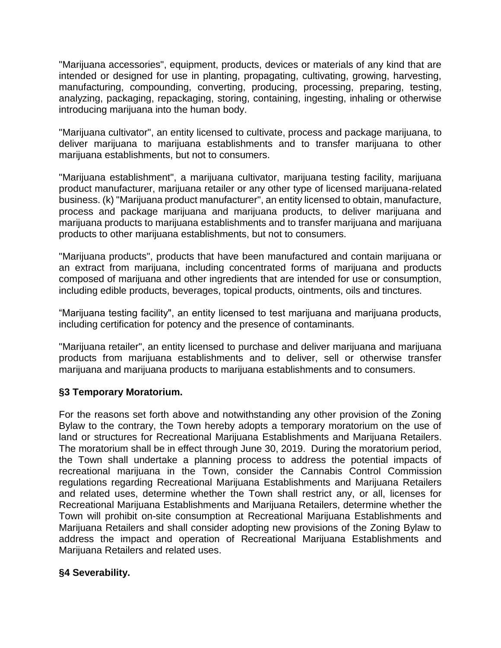"Marijuana accessories", equipment, products, devices or materials of any kind that are intended or designed for use in planting, propagating, cultivating, growing, harvesting, manufacturing, compounding, converting, producing, processing, preparing, testing, analyzing, packaging, repackaging, storing, containing, ingesting, inhaling or otherwise introducing marijuana into the human body.

"Marijuana cultivator", an entity licensed to cultivate, process and package marijuana, to deliver marijuana to marijuana establishments and to transfer marijuana to other marijuana establishments, but not to consumers.

"Marijuana establishment", a marijuana cultivator, marijuana testing facility, marijuana product manufacturer, marijuana retailer or any other type of licensed marijuana-related business. (k) "Marijuana product manufacturer", an entity licensed to obtain, manufacture, process and package marijuana and marijuana products, to deliver marijuana and marijuana products to marijuana establishments and to transfer marijuana and marijuana products to other marijuana establishments, but not to consumers.

"Marijuana products", products that have been manufactured and contain marijuana or an extract from marijuana, including concentrated forms of marijuana and products composed of marijuana and other ingredients that are intended for use or consumption, including edible products, beverages, topical products, ointments, oils and tinctures.

"Marijuana testing facility", an entity licensed to test marijuana and marijuana products, including certification for potency and the presence of contaminants.

"Marijuana retailer", an entity licensed to purchase and deliver marijuana and marijuana products from marijuana establishments and to deliver, sell or otherwise transfer marijuana and marijuana products to marijuana establishments and to consumers.

# **§3 Temporary Moratorium.**

For the reasons set forth above and notwithstanding any other provision of the Zoning Bylaw to the contrary, the Town hereby adopts a temporary moratorium on the use of land or structures for Recreational Marijuana Establishments and Marijuana Retailers. The moratorium shall be in effect through June 30, 2019. During the moratorium period, the Town shall undertake a planning process to address the potential impacts of recreational marijuana in the Town, consider the Cannabis Control Commission regulations regarding Recreational Marijuana Establishments and Marijuana Retailers and related uses, determine whether the Town shall restrict any, or all, licenses for Recreational Marijuana Establishments and Marijuana Retailers, determine whether the Town will prohibit on-site consumption at Recreational Marijuana Establishments and Marijuana Retailers and shall consider adopting new provisions of the Zoning Bylaw to address the impact and operation of Recreational Marijuana Establishments and Marijuana Retailers and related uses.

# **§4 Severability.**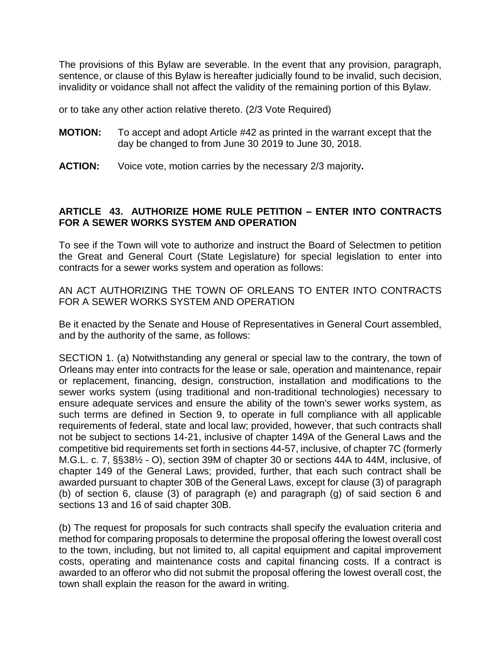The provisions of this Bylaw are severable. In the event that any provision, paragraph, sentence, or clause of this Bylaw is hereafter judicially found to be invalid, such decision, invalidity or voidance shall not affect the validity of the remaining portion of this Bylaw.

or to take any other action relative thereto. (2/3 Vote Required)

- **MOTION:** To accept and adopt Article #42 as printed in the warrant except that the day be changed to from June 30 2019 to June 30, 2018.
- **ACTION:** Voice vote, motion carries by the necessary 2/3 majority**.**

#### **ARTICLE 43. AUTHORIZE HOME RULE PETITION – ENTER INTO CONTRACTS FOR A SEWER WORKS SYSTEM AND OPERATION**

To see if the Town will vote to authorize and instruct the Board of Selectmen to petition the Great and General Court (State Legislature) for special legislation to enter into contracts for a sewer works system and operation as follows:

AN ACT AUTHORIZING THE TOWN OF ORLEANS TO ENTER INTO CONTRACTS FOR A SEWER WORKS SYSTEM AND OPERATION

Be it enacted by the Senate and House of Representatives in General Court assembled, and by the authority of the same, as follows:

SECTION 1. (a) Notwithstanding any general or special law to the contrary, the town of Orleans may enter into contracts for the lease or sale, operation and maintenance, repair or replacement, financing, design, construction, installation and modifications to the sewer works system (using traditional and non-traditional technologies) necessary to ensure adequate services and ensure the ability of the town's sewer works system, as such terms are defined in Section 9, to operate in full compliance with all applicable requirements of federal, state and local law; provided, however, that such contracts shall not be subject to sections 14-21, inclusive of chapter 149A of the General Laws and the competitive bid requirements set forth in sections 44-57, inclusive, of chapter 7C (formerly M.G.L. c. 7, §§38½ - O), section 39M of chapter 30 or sections 44A to 44M, inclusive, of chapter 149 of the General Laws; provided, further, that each such contract shall be awarded pursuant to chapter 30B of the General Laws, except for clause (3) of paragraph (b) of section 6, clause (3) of paragraph (e) and paragraph (g) of said section 6 and sections 13 and 16 of said chapter 30B.

(b) The request for proposals for such contracts shall specify the evaluation criteria and method for comparing proposals to determine the proposal offering the lowest overall cost to the town, including, but not limited to, all capital equipment and capital improvement costs, operating and maintenance costs and capital financing costs. If a contract is awarded to an offeror who did not submit the proposal offering the lowest overall cost, the town shall explain the reason for the award in writing.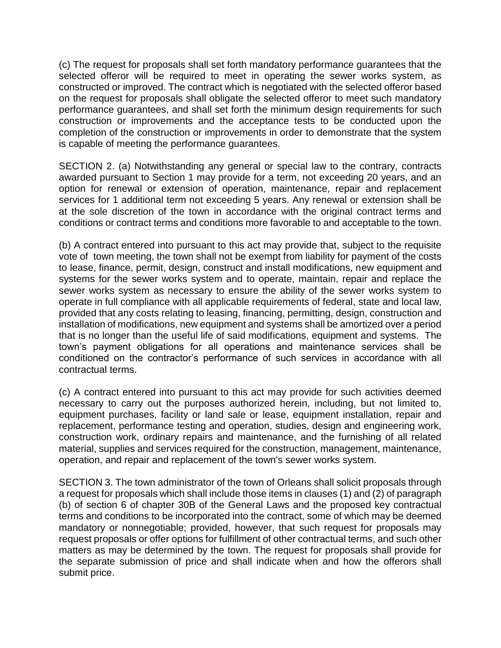(c) The request for proposals shall set forth mandatory performance guarantees that the selected offeror will be required to meet in operating the sewer works system, as constructed or improved. The contract which is negotiated with the selected offeror based on the request for proposals shall obligate the selected offeror to meet such mandatory performance guarantees, and shall set forth the minimum design requirements for such construction or improvements and the acceptance tests to be conducted upon the completion of the construction or improvements in order to demonstrate that the system is capable of meeting the performance guarantees.

SECTION 2. (a) Notwithstanding any general or special law to the contrary, contracts awarded pursuant to Section 1 may provide for a term, not exceeding 20 years, and an option for renewal or extension of operation, maintenance, repair and replacement services for 1 additional term not exceeding 5 years. Any renewal or extension shall be at the sole discretion of the town in accordance with the original contract terms and conditions or contract terms and conditions more favorable to and acceptable to the town.

(b) A contract entered into pursuant to this act may provide that, subject to the requisite vote of town meeting, the town shall not be exempt from liability for payment of the costs to lease, finance, permit, design, construct and install modifications, new equipment and systems for the sewer works system and to operate, maintain, repair and replace the sewer works system as necessary to ensure the ability of the sewer works system to operate in full compliance with all applicable requirements of federal, state and local law, provided that any costs relating to leasing, financing, permitting, design, construction and installation of modifications, new equipment and systems shall be amortized over a period that is no longer than the useful life of said modifications, equipment and systems. The town's payment obligations for all operations and maintenance services shall be conditioned on the contractor's performance of such services in accordance with all contractual terms.

(c) A contract entered into pursuant to this act may provide for such activities deemed necessary to carry out the purposes authorized herein, including, but not limited to, equipment purchases, facility or land sale or lease, equipment installation, repair and replacement, performance testing and operation, studies, design and engineering work, construction work, ordinary repairs and maintenance, and the furnishing of all related material, supplies and services required for the construction, management, maintenance, operation, and repair and replacement of the town's sewer works system.

SECTION 3. The town administrator of the town of Orleans shall solicit proposals through a request for proposals which shall include those items in clauses (1) and (2) of paragraph (b) of section 6 of chapter 30B of the General Laws and the proposed key contractual terms and conditions to be incorporated into the contract, some of which may be deemed mandatory or nonnegotiable; provided, however, that such request for proposals may request proposals or offer options for fulfillment of other contractual terms, and such other matters as may be determined by the town. The request for proposals shall provide for the separate submission of price and shall indicate when and how the offerors shall submit price.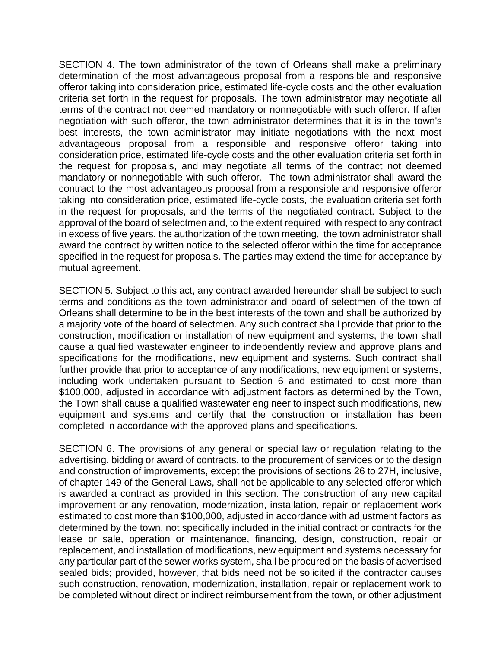SECTION 4. The town administrator of the town of Orleans shall make a preliminary determination of the most advantageous proposal from a responsible and responsive offeror taking into consideration price, estimated life-cycle costs and the other evaluation criteria set forth in the request for proposals. The town administrator may negotiate all terms of the contract not deemed mandatory or nonnegotiable with such offeror. If after negotiation with such offeror, the town administrator determines that it is in the town's best interests, the town administrator may initiate negotiations with the next most advantageous proposal from a responsible and responsive offeror taking into consideration price, estimated life-cycle costs and the other evaluation criteria set forth in the request for proposals, and may negotiate all terms of the contract not deemed mandatory or nonnegotiable with such offeror. The town administrator shall award the contract to the most advantageous proposal from a responsible and responsive offeror taking into consideration price, estimated life-cycle costs, the evaluation criteria set forth in the request for proposals, and the terms of the negotiated contract. Subject to the approval of the board of selectmen and, to the extent required with respect to any contract in excess of five years, the authorization of the town meeting, the town administrator shall award the contract by written notice to the selected offeror within the time for acceptance specified in the request for proposals. The parties may extend the time for acceptance by mutual agreement.

SECTION 5. Subject to this act, any contract awarded hereunder shall be subject to such terms and conditions as the town administrator and board of selectmen of the town of Orleans shall determine to be in the best interests of the town and shall be authorized by a majority vote of the board of selectmen. Any such contract shall provide that prior to the construction, modification or installation of new equipment and systems, the town shall cause a qualified wastewater engineer to independently review and approve plans and specifications for the modifications, new equipment and systems. Such contract shall further provide that prior to acceptance of any modifications, new equipment or systems, including work undertaken pursuant to Section 6 and estimated to cost more than \$100,000, adjusted in accordance with adjustment factors as determined by the Town, the Town shall cause a qualified wastewater engineer to inspect such modifications, new equipment and systems and certify that the construction or installation has been completed in accordance with the approved plans and specifications.

SECTION 6. The provisions of any general or special law or regulation relating to the advertising, bidding or award of contracts, to the procurement of services or to the design and construction of improvements, except the provisions of sections 26 to 27H, inclusive, of chapter 149 of the General Laws, shall not be applicable to any selected offeror which is awarded a contract as provided in this section. The construction of any new capital improvement or any renovation, modernization, installation, repair or replacement work estimated to cost more than \$100,000, adjusted in accordance with adjustment factors as determined by the town, not specifically included in the initial contract or contracts for the lease or sale, operation or maintenance, financing, design, construction, repair or replacement, and installation of modifications, new equipment and systems necessary for any particular part of the sewer works system, shall be procured on the basis of advertised sealed bids; provided, however, that bids need not be solicited if the contractor causes such construction, renovation, modernization, installation, repair or replacement work to be completed without direct or indirect reimbursement from the town, or other adjustment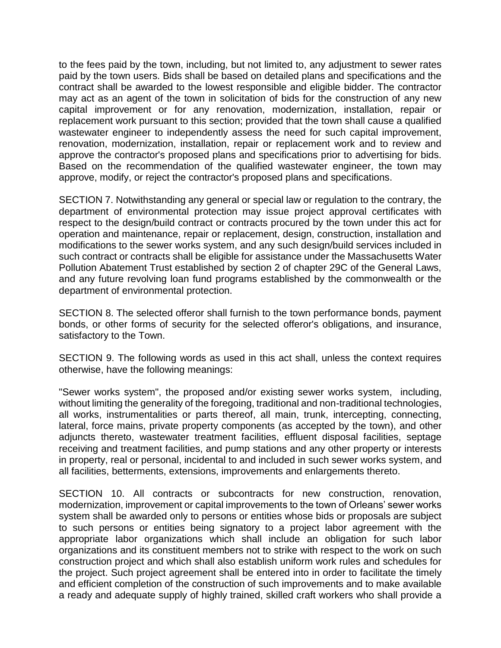to the fees paid by the town, including, but not limited to, any adjustment to sewer rates paid by the town users. Bids shall be based on detailed plans and specifications and the contract shall be awarded to the lowest responsible and eligible bidder. The contractor may act as an agent of the town in solicitation of bids for the construction of any new capital improvement or for any renovation, modernization, installation, repair or replacement work pursuant to this section; provided that the town shall cause a qualified wastewater engineer to independently assess the need for such capital improvement, renovation, modernization, installation, repair or replacement work and to review and approve the contractor's proposed plans and specifications prior to advertising for bids. Based on the recommendation of the qualified wastewater engineer, the town may approve, modify, or reject the contractor's proposed plans and specifications.

SECTION 7. Notwithstanding any general or special law or regulation to the contrary, the department of environmental protection may issue project approval certificates with respect to the design/build contract or contracts procured by the town under this act for operation and maintenance, repair or replacement, design, construction, installation and modifications to the sewer works system, and any such design/build services included in such contract or contracts shall be eligible for assistance under the Massachusetts Water Pollution Abatement Trust established by section 2 of chapter 29C of the General Laws, and any future revolving loan fund programs established by the commonwealth or the department of environmental protection.

SECTION 8. The selected offeror shall furnish to the town performance bonds, payment bonds, or other forms of security for the selected offeror's obligations, and insurance, satisfactory to the Town.

SECTION 9. The following words as used in this act shall, unless the context requires otherwise, have the following meanings:

"Sewer works system", the proposed and/or existing sewer works system, including, without limiting the generality of the foregoing, traditional and non-traditional technologies, all works, instrumentalities or parts thereof, all main, trunk, intercepting, connecting, lateral, force mains, private property components (as accepted by the town), and other adjuncts thereto, wastewater treatment facilities, effluent disposal facilities, septage receiving and treatment facilities, and pump stations and any other property or interests in property, real or personal, incidental to and included in such sewer works system, and all facilities, betterments, extensions, improvements and enlargements thereto.

SECTION 10. All contracts or subcontracts for new construction, renovation, modernization, improvement or capital improvements to the town of Orleans' sewer works system shall be awarded only to persons or entities whose bids or proposals are subject to such persons or entities being signatory to a project labor agreement with the appropriate labor organizations which shall include an obligation for such labor organizations and its constituent members not to strike with respect to the work on such construction project and which shall also establish uniform work rules and schedules for the project. Such project agreement shall be entered into in order to facilitate the timely and efficient completion of the construction of such improvements and to make available a ready and adequate supply of highly trained, skilled craft workers who shall provide a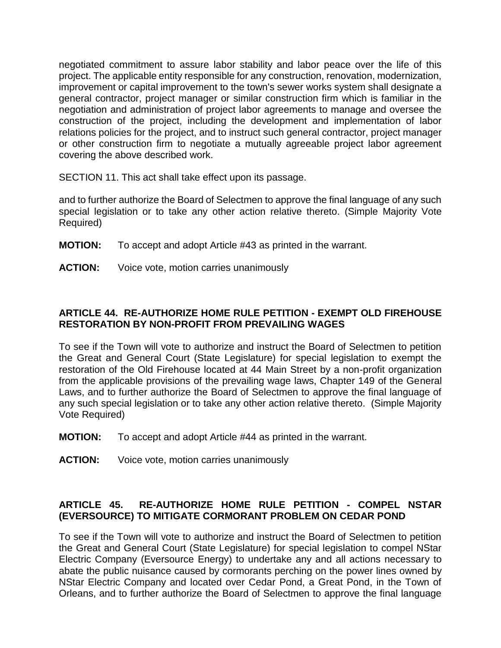negotiated commitment to assure labor stability and labor peace over the life of this project. The applicable entity responsible for any construction, renovation, modernization, improvement or capital improvement to the town's sewer works system shall designate a general contractor, project manager or similar construction firm which is familiar in the negotiation and administration of project labor agreements to manage and oversee the construction of the project, including the development and implementation of labor relations policies for the project, and to instruct such general contractor, project manager or other construction firm to negotiate a mutually agreeable project labor agreement covering the above described work.

SECTION 11. This act shall take effect upon its passage.

and to further authorize the Board of Selectmen to approve the final language of any such special legislation or to take any other action relative thereto. (Simple Majority Vote Required)

- **MOTION:** To accept and adopt Article #43 as printed in the warrant.
- **ACTION:** Voice vote, motion carries unanimously

# **ARTICLE 44. RE-AUTHORIZE HOME RULE PETITION - EXEMPT OLD FIREHOUSE RESTORATION BY NON-PROFIT FROM PREVAILING WAGES**

To see if the Town will vote to authorize and instruct the Board of Selectmen to petition the Great and General Court (State Legislature) for special legislation to exempt the restoration of the Old Firehouse located at 44 Main Street by a non-profit organization from the applicable provisions of the prevailing wage laws, Chapter 149 of the General Laws, and to further authorize the Board of Selectmen to approve the final language of any such special legislation or to take any other action relative thereto. (Simple Majority Vote Required)

- **MOTION:** To accept and adopt Article #44 as printed in the warrant.
- **ACTION:** Voice vote, motion carries unanimously

# **ARTICLE 45. RE-AUTHORIZE HOME RULE PETITION - COMPEL NSTAR (EVERSOURCE) TO MITIGATE CORMORANT PROBLEM ON CEDAR POND**

To see if the Town will vote to authorize and instruct the Board of Selectmen to petition the Great and General Court (State Legislature) for special legislation to compel NStar Electric Company (Eversource Energy) to undertake any and all actions necessary to abate the public nuisance caused by cormorants perching on the power lines owned by NStar Electric Company and located over Cedar Pond, a Great Pond, in the Town of Orleans, and to further authorize the Board of Selectmen to approve the final language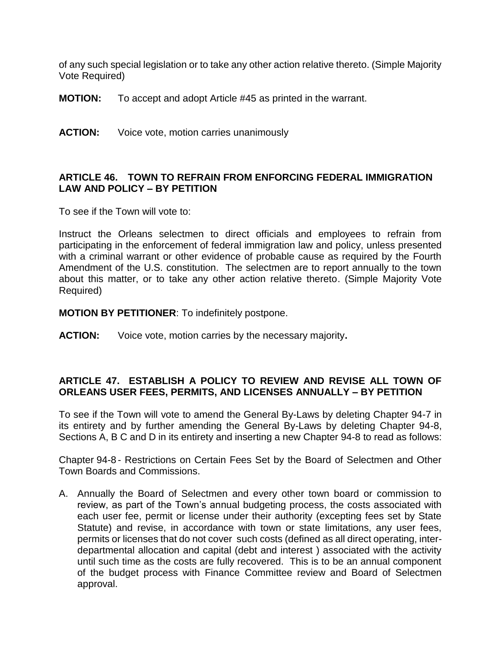of any such special legislation or to take any other action relative thereto. (Simple Majority Vote Required)

- **MOTION:** To accept and adopt Article #45 as printed in the warrant.
- **ACTION:** Voice vote, motion carries unanimously

#### **ARTICLE 46. TOWN TO REFRAIN FROM ENFORCING FEDERAL IMMIGRATION LAW AND POLICY – BY PETITION**

To see if the Town will vote to:

Instruct the Orleans selectmen to direct officials and employees to refrain from participating in the enforcement of federal immigration law and policy, unless presented with a criminal warrant or other evidence of probable cause as required by the Fourth Amendment of the U.S. constitution. The selectmen are to report annually to the town about this matter, or to take any other action relative thereto. (Simple Majority Vote Required)

**MOTION BY PETITIONER**: To indefinitely postpone.

**ACTION:** Voice vote, motion carries by the necessary majority**.**

## **ARTICLE 47. ESTABLISH A POLICY TO REVIEW AND REVISE ALL TOWN OF ORLEANS USER FEES, PERMITS, AND LICENSES ANNUALLY – BY PETITION**

To see if the Town will vote to amend the General By-Laws by deleting Chapter 94-7 in its entirety and by further amending the General By-Laws by deleting Chapter 94-8, Sections A, B C and D in its entirety and inserting a new Chapter 94-8 to read as follows:

Chapter 94-8 - Restrictions on Certain Fees Set by the Board of Selectmen and Other Town Boards and Commissions.

A. Annually the Board of Selectmen and every other town board or commission to review, as part of the Town's annual budgeting process, the costs associated with each user fee, permit or license under their authority (excepting fees set by State Statute) and revise, in accordance with town or state limitations, any user fees, permits or licenses that do not cover such costs (defined as all direct operating, interdepartmental allocation and capital (debt and interest ) associated with the activity until such time as the costs are fully recovered. This is to be an annual component of the budget process with Finance Committee review and Board of Selectmen approval.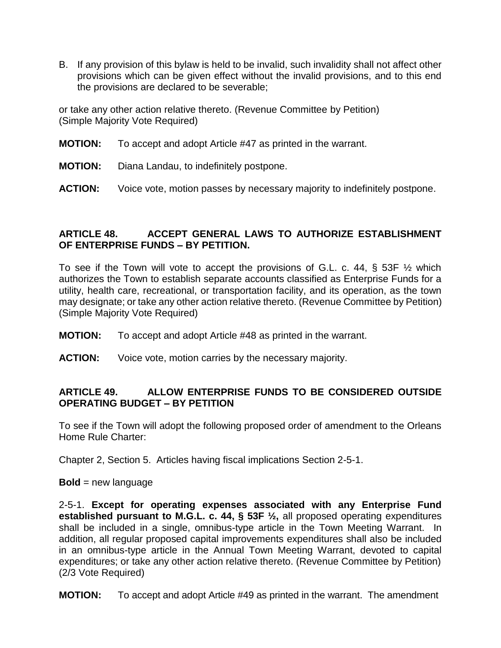B. If any provision of this bylaw is held to be invalid, such invalidity shall not affect other provisions which can be given effect without the invalid provisions, and to this end the provisions are declared to be severable;

or take any other action relative thereto. (Revenue Committee by Petition) (Simple Majority Vote Required)

- **MOTION:** To accept and adopt Article #47 as printed in the warrant.
- **MOTION:** Diana Landau, to indefinitely postpone.
- **ACTION:** Voice vote, motion passes by necessary majority to indefinitely postpone.

# **ARTICLE 48. ACCEPT GENERAL LAWS TO AUTHORIZE ESTABLISHMENT OF ENTERPRISE FUNDS – BY PETITION.**

To see if the Town will vote to accept the provisions of G.L. c. 44, § 53F ½ which authorizes the Town to establish separate accounts classified as Enterprise Funds for a utility, health care, recreational, or transportation facility, and its operation, as the town may designate; or take any other action relative thereto. (Revenue Committee by Petition) (Simple Majority Vote Required)

- **MOTION:** To accept and adopt Article #48 as printed in the warrant.
- **ACTION:** Voice vote, motion carries by the necessary majority.

# **ARTICLE 49. ALLOW ENTERPRISE FUNDS TO BE CONSIDERED OUTSIDE OPERATING BUDGET – BY PETITION**

To see if the Town will adopt the following proposed order of amendment to the Orleans Home Rule Charter:

Chapter 2, Section 5. Articles having fiscal implications Section 2-5-1.

#### **Bold** = new language

2-5-1. **Except for operating expenses associated with any Enterprise Fund established pursuant to M.G.L. c. 44, § 53F ½,** all proposed operating expenditures shall be included in a single, omnibus-type article in the Town Meeting Warrant. In addition, all regular proposed capital improvements expenditures shall also be included in an omnibus-type article in the Annual Town Meeting Warrant, devoted to capital expenditures; or take any other action relative thereto. (Revenue Committee by Petition) (2/3 Vote Required)

**MOTION:** To accept and adopt Article #49 as printed in the warrant. The amendment